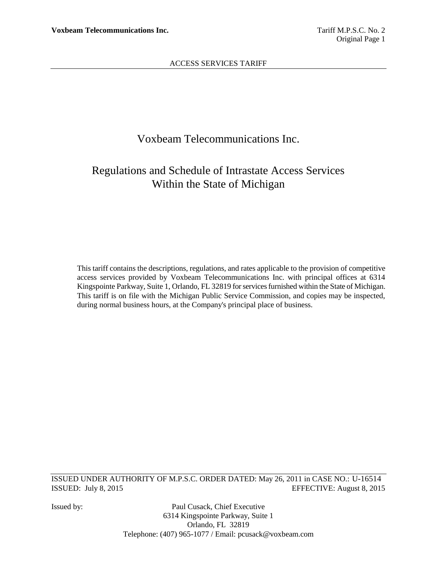# Voxbeam Telecommunications Inc.

# Regulations and Schedule of Intrastate Access Services Within the State of Michigan

This tariff contains the descriptions, regulations, and rates applicable to the provision of competitive access services provided by Voxbeam Telecommunications Inc. with principal offices at 6314 Kingspointe Parkway, Suite 1, Orlando, FL 32819 for services furnished within the State of Michigan. This tariff is on file with the Michigan Public Service Commission, and copies may be inspected, during normal business hours, at the Company's principal place of business.

ISSUED UNDER AUTHORITY OF M.P.S.C. ORDER DATED: May 26, 2011 in CASE NO.: U-16514 ISSUED: July 8, 2015 EFFECTIVE: August 8, 2015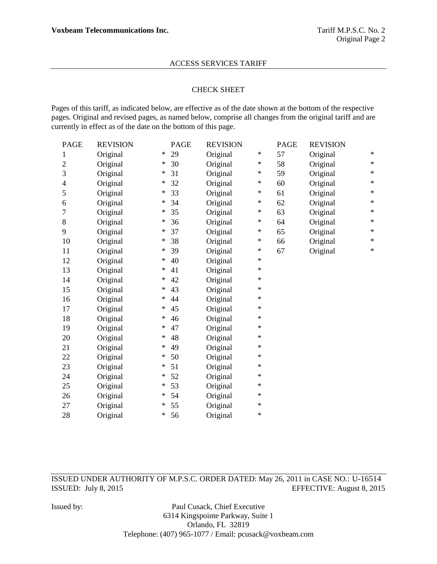## CHECK SHEET

Pages of this tariff, as indicated below, are effective as of the date shown at the bottom of the respective pages. Original and revised pages, as named below, comprise all changes from the original tariff and are currently in effect as of the date on the bottom of this page.

| <b>PAGE</b>    | <b>REVISION</b> |        | <b>PAGE</b> | <b>REVISION</b> |        | <b>PAGE</b> | <b>REVISION</b> |        |
|----------------|-----------------|--------|-------------|-----------------|--------|-------------|-----------------|--------|
| 1              | Original        | ∗      | 29          | Original        | $\ast$ | 57          | Original        | ∗      |
| $\overline{c}$ | Original        | ∗      | 30          | Original        | $\ast$ | 58          | Original        | ∗      |
| 3              | Original        | ∗      | 31          | Original        | $\ast$ | 59          | Original        | $\ast$ |
| 4              | Original        | ∗      | 32          | Original        | $\ast$ | 60          | Original        | $\ast$ |
| 5              | Original        | ∗      | 33          | Original        | $\ast$ | 61          | Original        | $\ast$ |
| 6              | Original        | ∗      | 34          | Original        | $\ast$ | 62          | Original        | $\ast$ |
| 7              | Original        | ∗      | 35          | Original        | $\ast$ | 63          | Original        | $\ast$ |
| $8\,$          | Original        | ∗      | 36          | Original        | $\ast$ | 64          | Original        | $\ast$ |
| 9              | Original        | ∗      | 37          | Original        | $\ast$ | 65          | Original        | $\ast$ |
| 10             | Original        | ∗      | 38          | Original        | $\ast$ | 66          | Original        | $\ast$ |
| 11             | Original        | ∗      | 39          | Original        | $\ast$ | 67          | Original        | $\ast$ |
| 12             | Original        | $\ast$ | 40          | Original        | $\ast$ |             |                 |        |
| 13             | Original        | ∗      | 41          | Original        | $\ast$ |             |                 |        |
| 14             | Original        | ∗      | 42          | Original        | $\ast$ |             |                 |        |
| 15             | Original        | ∗      | 43          | Original        | $\ast$ |             |                 |        |
| 16             | Original        | ∗      | 44          | Original        | $\ast$ |             |                 |        |
| 17             | Original        | ∗      | 45          | Original        | $\ast$ |             |                 |        |
| 18             | Original        | ∗      | 46          | Original        | $\ast$ |             |                 |        |
| 19             | Original        | ∗      | 47          | Original        | $\ast$ |             |                 |        |
| 20             | Original        | ∗      | 48          | Original        | $\ast$ |             |                 |        |
| 21             | Original        | ∗      | 49          | Original        | $\ast$ |             |                 |        |
| 22             | Original        | ∗      | 50          | Original        | $\ast$ |             |                 |        |
| 23             | Original        | ∗      | 51          | Original        | $\ast$ |             |                 |        |
| 24             | Original        | $\ast$ | 52          | Original        | $\ast$ |             |                 |        |
| 25             | Original        | ∗      | 53          | Original        | $\ast$ |             |                 |        |
| 26             | Original        | ∗      | 54          | Original        | $\ast$ |             |                 |        |
| 27             | Original        | ∗      | 55          | Original        | $\ast$ |             |                 |        |
| 28             | Original        | $\ast$ | 56          | Original        | $\ast$ |             |                 |        |

ISSUED UNDER AUTHORITY OF M.P.S.C. ORDER DATED: May 26, 2011 in CASE NO.: U-16514 ISSUED: July 8, 2015 EFFECTIVE: August 8, 2015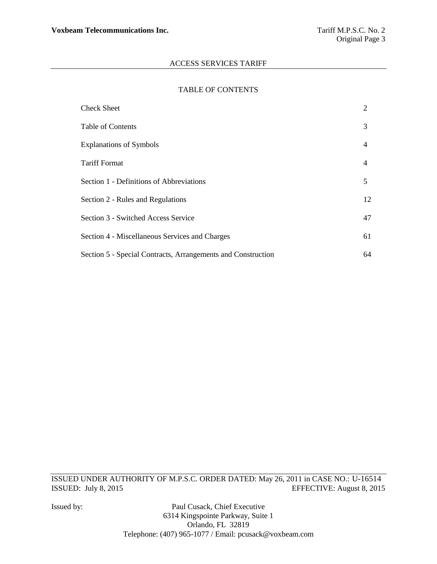### TABLE OF CONTENTS

| <b>Check Sheet</b>                                           | 2              |
|--------------------------------------------------------------|----------------|
| <b>Table of Contents</b>                                     | 3              |
| <b>Explanations of Symbols</b>                               | $\overline{4}$ |
| <b>Tariff Format</b>                                         | $\overline{4}$ |
| Section 1 - Definitions of Abbreviations                     | 5              |
| Section 2 - Rules and Regulations                            | 12             |
| Section 3 - Switched Access Service                          | 47             |
| Section 4 - Miscellaneous Services and Charges               | 61             |
| Section 5 - Special Contracts, Arrangements and Construction | 64             |

ISSUED UNDER AUTHORITY OF M.P.S.C. ORDER DATED: May 26, 2011 in CASE NO.: U-16514 ISSUED: July 8, 2015 EFFECTIVE: August 8, 2015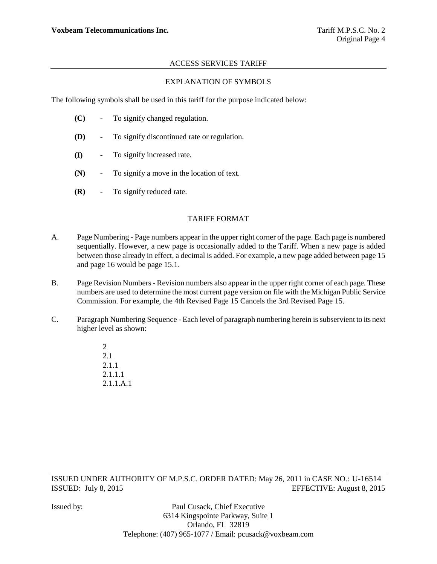# EXPLANATION OF SYMBOLS

The following symbols shall be used in this tariff for the purpose indicated below:

- **(C)** To signify changed regulation.
- **(D)** To signify discontinued rate or regulation.
- **(I)** To signify increased rate.
- **(N)** To signify a move in the location of text.
- **(R)** To signify reduced rate.

# TARIFF FORMAT

- A. Page Numbering Page numbers appear in the upper right corner of the page. Each page is numbered sequentially. However, a new page is occasionally added to the Tariff. When a new page is added between those already in effect, a decimal is added. For example, a new page added between page 15 and page 16 would be page 15.1.
- B. Page Revision Numbers Revision numbers also appear in the upper right corner of each page. These numbers are used to determine the most current page version on file with the Michigan Public Service Commission. For example, the 4th Revised Page 15 Cancels the 3rd Revised Page 15.
- C. Paragraph Numbering Sequence Each level of paragraph numbering herein is subservient to its next higher level as shown:
	- $\mathcal{L}$ 2.1 2.1.1 2.1.1.1 2.1.1.A.1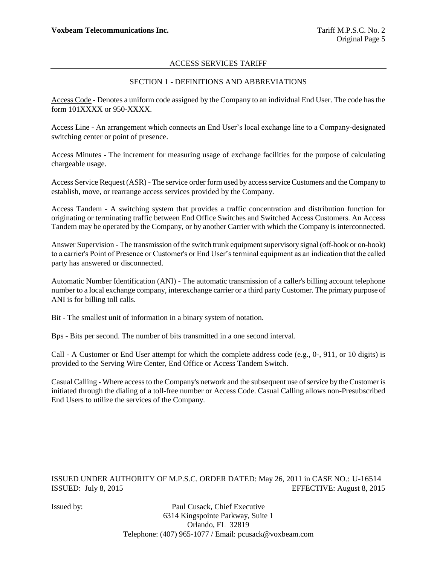# SECTION 1 - DEFINITIONS AND ABBREVIATIONS

Access Code - Denotes a uniform code assigned by the Company to an individual End User. The code has the form 101XXXX or 950-XXXX.

Access Line - An arrangement which connects an End User"s local exchange line to a Company-designated switching center or point of presence.

Access Minutes - The increment for measuring usage of exchange facilities for the purpose of calculating chargeable usage.

Access Service Request (ASR) - The service order form used by access service Customers and the Company to establish, move, or rearrange access services provided by the Company.

Access Tandem - A switching system that provides a traffic concentration and distribution function for originating or terminating traffic between End Office Switches and Switched Access Customers. An Access Tandem may be operated by the Company, or by another Carrier with which the Company is interconnected.

Answer Supervision - The transmission of the switch trunk equipment supervisory signal (off-hook or on-hook) to a carrier's Point of Presence or Customer's or End User"s terminal equipment as an indication that the called party has answered or disconnected.

Automatic Number Identification (ANI) - The automatic transmission of a caller's billing account telephone number to a local exchange company, interexchange carrier or a third party Customer. The primary purpose of ANI is for billing toll calls.

Bit - The smallest unit of information in a binary system of notation.

Bps - Bits per second. The number of bits transmitted in a one second interval.

Call - A Customer or End User attempt for which the complete address code (e.g., 0-, 911, or 10 digits) is provided to the Serving Wire Center, End Office or Access Tandem Switch.

Casual Calling - Where access to the Company's network and the subsequent use of service by the Customer is initiated through the dialing of a toll-free number or Access Code. Casual Calling allows non-Presubscribed End Users to utilize the services of the Company.

ISSUED UNDER AUTHORITY OF M.P.S.C. ORDER DATED: May 26, 2011 in CASE NO.: U-16514 ISSUED: July 8, 2015 EFFECTIVE: August 8, 2015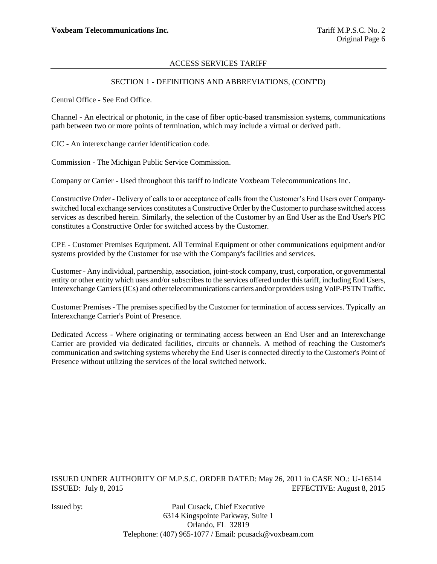# SECTION 1 - DEFINITIONS AND ABBREVIATIONS, (CONT'D)

Central Office - See End Office.

Channel - An electrical or photonic, in the case of fiber optic-based transmission systems, communications path between two or more points of termination, which may include a virtual or derived path.

CIC - An interexchange carrier identification code.

Commission - The Michigan Public Service Commission.

Company or Carrier - Used throughout this tariff to indicate Voxbeam Telecommunications Inc.

Constructive Order - Delivery of calls to or acceptance of calls from the Customer"s End Users over Companyswitched local exchange services constitutes a Constructive Order by the Customer to purchase switched access services as described herein. Similarly, the selection of the Customer by an End User as the End User's PIC constitutes a Constructive Order for switched access by the Customer.

CPE - Customer Premises Equipment. All Terminal Equipment or other communications equipment and/or systems provided by the Customer for use with the Company's facilities and services.

Customer - Any individual, partnership, association, joint-stock company, trust, corporation, or governmental entity or other entity which uses and/or subscribes to the services offered under this tariff, including End Users, Interexchange Carriers (ICs) and other telecommunications carriers and/or providers using VoIP-PSTN Traffic.

Customer Premises - The premises specified by the Customer for termination of access services. Typically an Interexchange Carrier's Point of Presence.

Dedicated Access - Where originating or terminating access between an End User and an Interexchange Carrier are provided via dedicated facilities, circuits or channels. A method of reaching the Customer's communication and switching systems whereby the End User is connected directly to the Customer's Point of Presence without utilizing the services of the local switched network.

ISSUED UNDER AUTHORITY OF M.P.S.C. ORDER DATED: May 26, 2011 in CASE NO.: U-16514 ISSUED: July 8, 2015 EFFECTIVE: August 8, 2015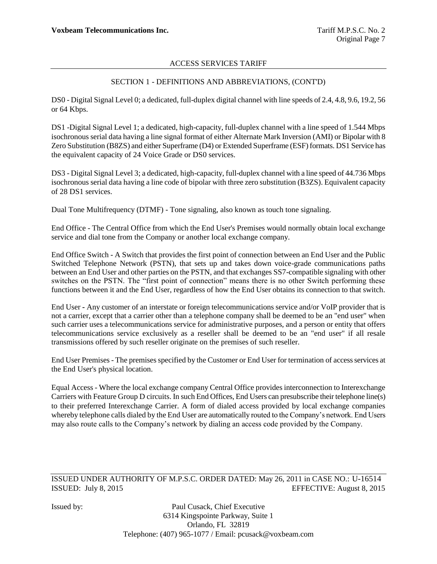# SECTION 1 - DEFINITIONS AND ABBREVIATIONS, (CONT'D)

DS0 - Digital Signal Level 0; a dedicated, full-duplex digital channel with line speeds of 2.4, 4.8, 9.6, 19.2, 56 or 64 Kbps.

DS1 -Digital Signal Level 1; a dedicated, high-capacity, full-duplex channel with a line speed of 1.544 Mbps isochronous serial data having a line signal format of either Alternate Mark Inversion (AMI) or Bipolar with 8 Zero Substitution (B8ZS) and either Superframe (D4) or Extended Superframe (ESF) formats. DS1 Service has the equivalent capacity of 24 Voice Grade or DS0 services.

DS3 - Digital Signal Level 3; a dedicated, high-capacity, full-duplex channel with a line speed of 44.736 Mbps isochronous serial data having a line code of bipolar with three zero substitution (B3ZS). Equivalent capacity of 28 DS1 services.

Dual Tone Multifrequency (DTMF) - Tone signaling, also known as touch tone signaling.

End Office - The Central Office from which the End User's Premises would normally obtain local exchange service and dial tone from the Company or another local exchange company.

End Office Switch - A Switch that provides the first point of connection between an End User and the Public Switched Telephone Network (PSTN), that sets up and takes down voice-grade communications paths between an End User and other parties on the PSTN, and that exchanges SS7-compatible signaling with other switches on the PSTN. The "first point of connection" means there is no other Switch performing these functions between it and the End User, regardless of how the End User obtains its connection to that switch.

End User **-** Any customer of an interstate or foreign telecommunications service and/or VoIP provider that is not a carrier, except that a carrier other than a telephone company shall be deemed to be an "end user" when such carrier uses a telecommunications service for administrative purposes, and a person or entity that offers telecommunications service exclusively as a reseller shall be deemed to be an "end user" if all resale transmissions offered by such reseller originate on the premises of such reseller.

End User Premises - The premises specified by the Customer or End User for termination of access services at the End User's physical location.

Equal Access - Where the local exchange company Central Office provides interconnection to Interexchange Carriers with Feature Group D circuits. In such End Offices, End Users can presubscribe their telephone line(s) to their preferred Interexchange Carrier. A form of dialed access provided by local exchange companies whereby telephone calls dialed by the End User are automatically routed to the Company"s network. End Users may also route calls to the Company"s network by dialing an access code provided by the Company.

ISSUED UNDER AUTHORITY OF M.P.S.C. ORDER DATED: May 26, 2011 in CASE NO.: U-16514 ISSUED: July 8, 2015 EFFECTIVE: August 8, 2015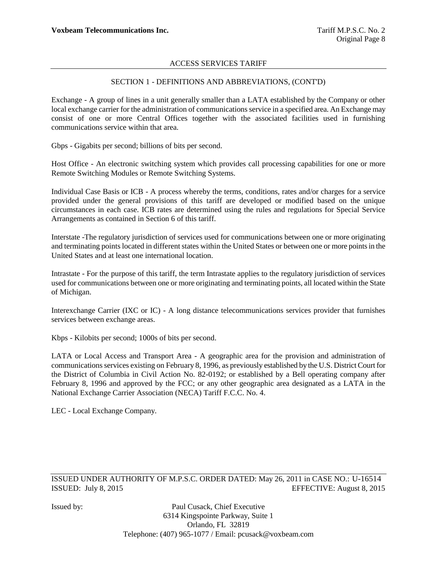# SECTION 1 - DEFINITIONS AND ABBREVIATIONS, (CONT'D)

Exchange - A group of lines in a unit generally smaller than a LATA established by the Company or other local exchange carrier for the administration of communications service in a specified area. An Exchange may consist of one or more Central Offices together with the associated facilities used in furnishing communications service within that area.

Gbps - Gigabits per second; billions of bits per second.

Host Office - An electronic switching system which provides call processing capabilities for one or more Remote Switching Modules or Remote Switching Systems.

Individual Case Basis or ICB - A process whereby the terms, conditions, rates and/or charges for a service provided under the general provisions of this tariff are developed or modified based on the unique circumstances in each case. ICB rates are determined using the rules and regulations for Special Service Arrangements as contained in Section 6 of this tariff.

Interstate -The regulatory jurisdiction of services used for communications between one or more originating and terminating points located in different states within the United States or between one or more points in the United States and at least one international location.

Intrastate - For the purpose of this tariff, the term Intrastate applies to the regulatory jurisdiction of services used for communications between one or more originating and terminating points, all located within the State of Michigan.

Interexchange Carrier (IXC or IC) - A long distance telecommunications services provider that furnishes services between exchange areas.

Kbps - Kilobits per second; 1000s of bits per second.

LATA or Local Access and Transport Area - A geographic area for the provision and administration of communications services existing on February 8, 1996, as previously established by the U.S. District Court for the District of Columbia in Civil Action No. 82-0192; or established by a Bell operating company after February 8, 1996 and approved by the FCC; or any other geographic area designated as a LATA in the National Exchange Carrier Association (NECA) Tariff F.C.C. No. 4.

LEC - Local Exchange Company.

ISSUED UNDER AUTHORITY OF M.P.S.C. ORDER DATED: May 26, 2011 in CASE NO.: U-16514 ISSUED: July 8, 2015 EFFECTIVE: August 8, 2015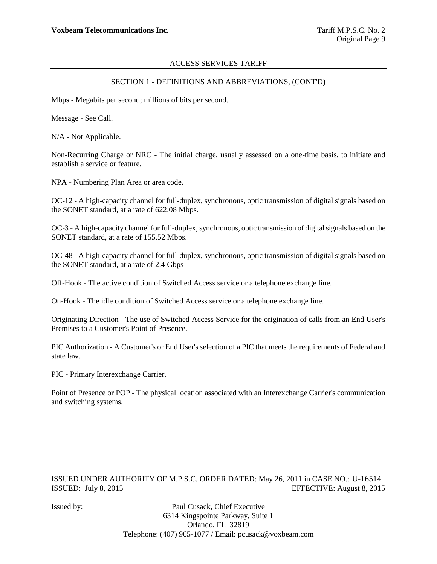## SECTION 1 - DEFINITIONS AND ABBREVIATIONS, (CONT'D)

Mbps - Megabits per second; millions of bits per second.

Message - See Call.

N/A - Not Applicable.

Non-Recurring Charge or NRC - The initial charge, usually assessed on a one-time basis, to initiate and establish a service or feature.

NPA - Numbering Plan Area or area code.

OC-12 - A high-capacity channel for full-duplex, synchronous, optic transmission of digital signals based on the SONET standard, at a rate of 622.08 Mbps.

OC-3 - A high-capacity channel for full-duplex, synchronous, optic transmission of digital signals based on the SONET standard, at a rate of 155.52 Mbps.

OC-48 - A high-capacity channel for full-duplex, synchronous, optic transmission of digital signals based on the SONET standard, at a rate of 2.4 Gbps

Off-Hook - The active condition of Switched Access service or a telephone exchange line.

On-Hook - The idle condition of Switched Access service or a telephone exchange line.

Originating Direction - The use of Switched Access Service for the origination of calls from an End User's Premises to a Customer's Point of Presence.

PIC Authorization - A Customer's or End User's selection of a PIC that meets the requirements of Federal and state law.

PIC - Primary Interexchange Carrier.

Point of Presence or POP - The physical location associated with an Interexchange Carrier's communication and switching systems.

ISSUED UNDER AUTHORITY OF M.P.S.C. ORDER DATED: May 26, 2011 in CASE NO.: U-16514 ISSUED: July 8, 2015 EFFECTIVE: August 8, 2015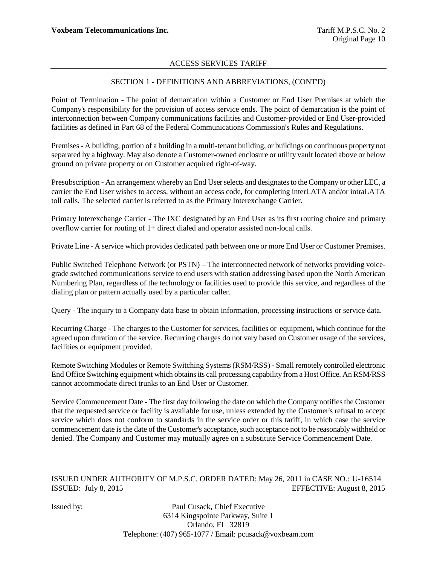# SECTION 1 - DEFINITIONS AND ABBREVIATIONS, (CONT'D)

Point of Termination - The point of demarcation within a Customer or End User Premises at which the Company's responsibility for the provision of access service ends. The point of demarcation is the point of interconnection between Company communications facilities and Customer-provided or End User-provided facilities as defined in Part 68 of the Federal Communications Commission's Rules and Regulations.

Premises - A building, portion of a building in a multi-tenant building, or buildings on continuous property not separated by a highway. May also denote a Customer-owned enclosure or utility vault located above or below ground on private property or on Customer acquired right-of-way.

Presubscription - An arrangement whereby an End User selects and designates to the Company or other LEC, a carrier the End User wishes to access, without an access code, for completing interLATA and/or intraLATA toll calls. The selected carrier is referred to as the Primary Interexchange Carrier.

Primary Interexchange Carrier - The IXC designated by an End User as its first routing choice and primary overflow carrier for routing of 1+ direct dialed and operator assisted non-local calls.

Private Line - A service which provides dedicated path between one or more End User or Customer Premises.

Public Switched Telephone Network (or PSTN) – The interconnected network of networks providing voicegrade switched communications service to end users with station addressing based upon the North American Numbering Plan, regardless of the technology or facilities used to provide this service, and regardless of the dialing plan or pattern actually used by a particular caller.

Query - The inquiry to a Company data base to obtain information, processing instructions or service data.

Recurring Charge - The charges to the Customer for services, facilities or equipment, which continue for the agreed upon duration of the service. Recurring charges do not vary based on Customer usage of the services, facilities or equipment provided.

Remote Switching Modules or Remote Switching Systems (RSM/RSS) - Small remotely controlled electronic End Office Switching equipment which obtains its call processing capability from a Host Office. An RSM/RSS cannot accommodate direct trunks to an End User or Customer.

Service Commencement Date - The first day following the date on which the Company notifies the Customer that the requested service or facility is available for use, unless extended by the Customer's refusal to accept service which does not conform to standards in the service order or this tariff, in which case the service commencement date is the date of the Customer's acceptance, such acceptance not to be reasonably withheld or denied. The Company and Customer may mutually agree on a substitute Service Commencement Date.

ISSUED UNDER AUTHORITY OF M.P.S.C. ORDER DATED: May 26, 2011 in CASE NO.: U-16514 ISSUED: July 8, 2015 EFFECTIVE: August 8, 2015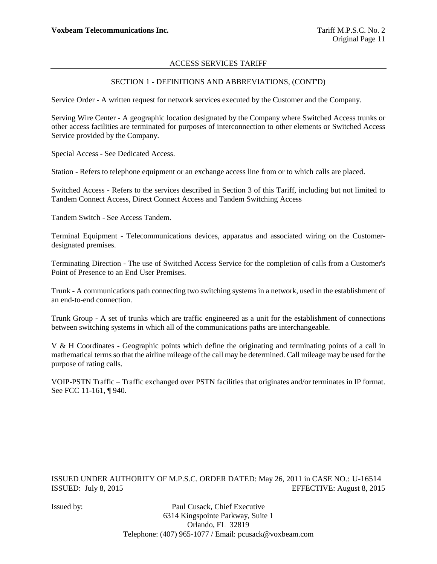## SECTION 1 - DEFINITIONS AND ABBREVIATIONS, (CONT'D)

Service Order - A written request for network services executed by the Customer and the Company.

Serving Wire Center - A geographic location designated by the Company where Switched Access trunks or other access facilities are terminated for purposes of interconnection to other elements or Switched Access Service provided by the Company.

Special Access - See Dedicated Access.

Station - Refers to telephone equipment or an exchange access line from or to which calls are placed.

Switched Access - Refers to the services described in Section 3 of this Tariff, including but not limited to Tandem Connect Access, Direct Connect Access and Tandem Switching Access

Tandem Switch - See Access Tandem.

Terminal Equipment - Telecommunications devices, apparatus and associated wiring on the Customerdesignated premises.

Terminating Direction - The use of Switched Access Service for the completion of calls from a Customer's Point of Presence to an End User Premises.

Trunk - A communications path connecting two switching systems in a network, used in the establishment of an end-to-end connection.

Trunk Group - A set of trunks which are traffic engineered as a unit for the establishment of connections between switching systems in which all of the communications paths are interchangeable.

V & H Coordinates - Geographic points which define the originating and terminating points of a call in mathematical terms so that the airline mileage of the call may be determined. Call mileage may be used for the purpose of rating calls.

VOIP-PSTN Traffic – Traffic exchanged over PSTN facilities that originates and/or terminates in IP format. See FCC 11-161, ¶ 940.

ISSUED UNDER AUTHORITY OF M.P.S.C. ORDER DATED: May 26, 2011 in CASE NO.: U-16514 ISSUED: July 8, 2015 EFFECTIVE: August 8, 2015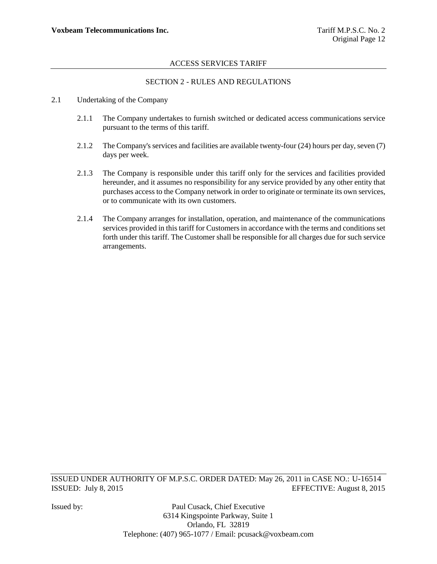# SECTION 2 - RULES AND REGULATIONS

- 2.1 Undertaking of the Company
	- 2.1.1 The Company undertakes to furnish switched or dedicated access communications service pursuant to the terms of this tariff.
	- 2.1.2 The Company's services and facilities are available twenty-four (24) hours per day, seven (7) days per week.
	- 2.1.3 The Company is responsible under this tariff only for the services and facilities provided hereunder, and it assumes no responsibility for any service provided by any other entity that purchases access to the Company network in order to originate or terminate its own services, or to communicate with its own customers.
	- 2.1.4 The Company arranges for installation, operation, and maintenance of the communications services provided in this tariff for Customers in accordance with the terms and conditions set forth under this tariff. The Customer shall be responsible for all charges due for such service arrangements.

ISSUED UNDER AUTHORITY OF M.P.S.C. ORDER DATED: May 26, 2011 in CASE NO.: U-16514 ISSUED: July 8, 2015 EFFECTIVE: August 8, 2015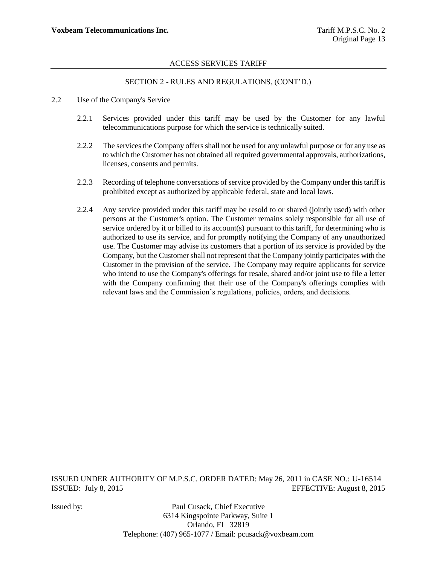# SECTION 2 - RULES AND REGULATIONS, (CONT"D.)

- 2.2 Use of the Company's Service
	- 2.2.1 Services provided under this tariff may be used by the Customer for any lawful telecommunications purpose for which the service is technically suited.
	- 2.2.2 The services the Company offers shall not be used for any unlawful purpose or for any use as to which the Customer has not obtained all required governmental approvals, authorizations, licenses, consents and permits.
	- 2.2.3 Recording of telephone conversations of service provided by the Company under this tariff is prohibited except as authorized by applicable federal, state and local laws.
	- 2.2.4 Any service provided under this tariff may be resold to or shared (jointly used) with other persons at the Customer's option. The Customer remains solely responsible for all use of service ordered by it or billed to its account(s) pursuant to this tariff, for determining who is authorized to use its service, and for promptly notifying the Company of any unauthorized use. The Customer may advise its customers that a portion of its service is provided by the Company, but the Customer shall not represent that the Company jointly participates with the Customer in the provision of the service. The Company may require applicants for service who intend to use the Company's offerings for resale, shared and/or joint use to file a letter with the Company confirming that their use of the Company's offerings complies with relevant laws and the Commission"s regulations, policies, orders, and decisions.

ISSUED UNDER AUTHORITY OF M.P.S.C. ORDER DATED: May 26, 2011 in CASE NO.: U-16514 ISSUED: July 8, 2015 EFFECTIVE: August 8, 2015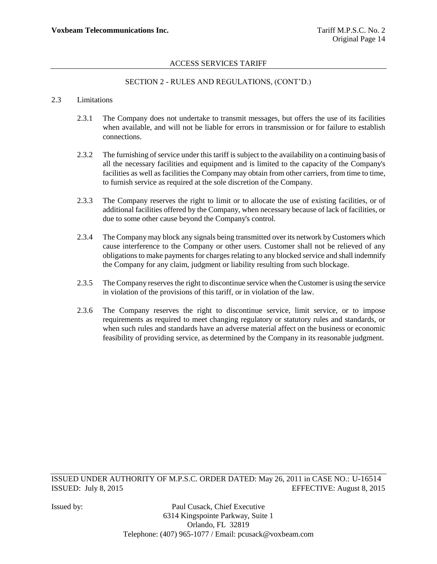# SECTION 2 - RULES AND REGULATIONS, (CONT"D.)

#### 2.3 Limitations

- 2.3.1 The Company does not undertake to transmit messages, but offers the use of its facilities when available, and will not be liable for errors in transmission or for failure to establish connections.
- 2.3.2 The furnishing of service under this tariff is subject to the availability on a continuing basis of all the necessary facilities and equipment and is limited to the capacity of the Company's facilities as well as facilities the Company may obtain from other carriers, from time to time, to furnish service as required at the sole discretion of the Company.
- 2.3.3 The Company reserves the right to limit or to allocate the use of existing facilities, or of additional facilities offered by the Company, when necessary because of lack of facilities, or due to some other cause beyond the Company's control.
- 2.3.4 The Company may block any signals being transmitted over its network by Customers which cause interference to the Company or other users. Customer shall not be relieved of any obligations to make payments for charges relating to any blocked service and shall indemnify the Company for any claim, judgment or liability resulting from such blockage.
- 2.3.5 The Company reserves the right to discontinue service when the Customer is using the service in violation of the provisions of this tariff, or in violation of the law.
- 2.3.6 The Company reserves the right to discontinue service, limit service, or to impose requirements as required to meet changing regulatory or statutory rules and standards, or when such rules and standards have an adverse material affect on the business or economic feasibility of providing service, as determined by the Company in its reasonable judgment.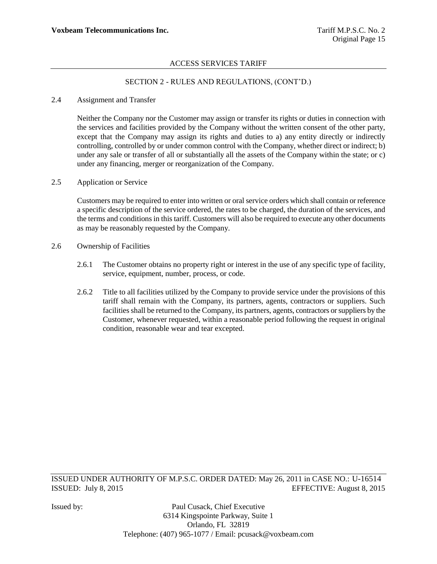# SECTION 2 - RULES AND REGULATIONS, (CONT"D.)

#### 2.4 Assignment and Transfer

Neither the Company nor the Customer may assign or transfer its rights or duties in connection with the services and facilities provided by the Company without the written consent of the other party, except that the Company may assign its rights and duties to a) any entity directly or indirectly controlling, controlled by or under common control with the Company, whether direct or indirect; b) under any sale or transfer of all or substantially all the assets of the Company within the state; or c) under any financing, merger or reorganization of the Company.

#### 2.5 Application or Service

Customers may be required to enter into written or oral service orders which shall contain or reference a specific description of the service ordered, the rates to be charged, the duration of the services, and the terms and conditions in this tariff. Customers will also be required to execute any other documents as may be reasonably requested by the Company.

- 2.6 Ownership of Facilities
	- 2.6.1 The Customer obtains no property right or interest in the use of any specific type of facility, service, equipment, number, process, or code.
	- 2.6.2 Title to all facilities utilized by the Company to provide service under the provisions of this tariff shall remain with the Company, its partners, agents, contractors or suppliers. Such facilities shall be returned to the Company, its partners, agents, contractors or suppliers by the Customer, whenever requested, within a reasonable period following the request in original condition, reasonable wear and tear excepted.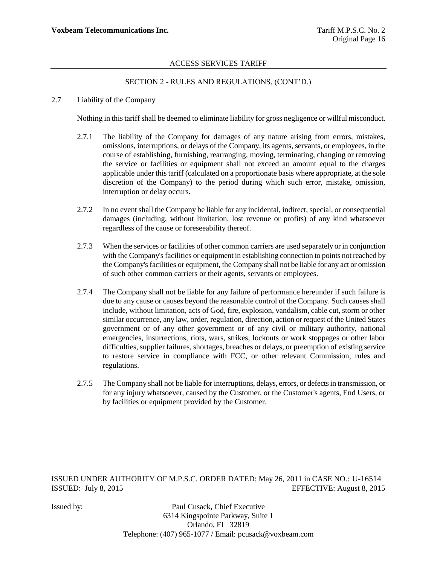# SECTION 2 - RULES AND REGULATIONS, (CONT"D.)

### 2.7 Liability of the Company

Nothing in this tariff shall be deemed to eliminate liability for gross negligence or willful misconduct.

- 2.7.1 The liability of the Company for damages of any nature arising from errors, mistakes, omissions, interruptions, or delays of the Company, its agents, servants, or employees, in the course of establishing, furnishing, rearranging, moving, terminating, changing or removing the service or facilities or equipment shall not exceed an amount equal to the charges applicable under this tariff (calculated on a proportionate basis where appropriate, at the sole discretion of the Company) to the period during which such error, mistake, omission, interruption or delay occurs.
- 2.7.2 In no event shall the Company be liable for any incidental, indirect, special, or consequential damages (including, without limitation, lost revenue or profits) of any kind whatsoever regardless of the cause or foreseeability thereof.
- 2.7.3 When the services or facilities of other common carriers are used separately or in conjunction with the Company's facilities or equipment in establishing connection to points not reached by the Company's facilities or equipment, the Company shall not be liable for any act or omission of such other common carriers or their agents, servants or employees.
- 2.7.4 The Company shall not be liable for any failure of performance hereunder if such failure is due to any cause or causes beyond the reasonable control of the Company. Such causes shall include, without limitation, acts of God, fire, explosion, vandalism, cable cut, storm or other similar occurrence, any law, order, regulation, direction, action or request of the United States government or of any other government or of any civil or military authority, national emergencies, insurrections, riots, wars, strikes, lockouts or work stoppages or other labor difficulties, supplier failures, shortages, breaches or delays, or preemption of existing service to restore service in compliance with FCC, or other relevant Commission, rules and regulations.
- 2.7.5 The Company shall not be liable for interruptions, delays, errors, or defects in transmission, or for any injury whatsoever, caused by the Customer, or the Customer's agents, End Users, or by facilities or equipment provided by the Customer.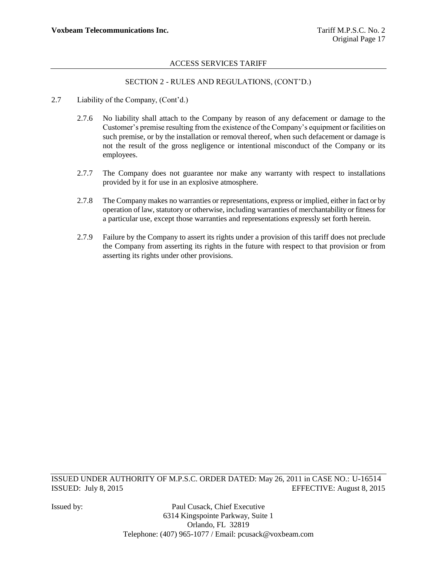# SECTION 2 - RULES AND REGULATIONS, (CONT"D.)

- 2.7 Liability of the Company, (Cont'd.)
	- 2.7.6 No liability shall attach to the Company by reason of any defacement or damage to the Customer"s premise resulting from the existence of the Company"s equipment or facilities on such premise, or by the installation or removal thereof, when such defacement or damage is not the result of the gross negligence or intentional misconduct of the Company or its employees.
	- 2.7.7 The Company does not guarantee nor make any warranty with respect to installations provided by it for use in an explosive atmosphere.
	- 2.7.8 The Company makes no warranties or representations, express or implied, either in fact or by operation of law, statutory or otherwise, including warranties of merchantability or fitness for a particular use, except those warranties and representations expressly set forth herein.
	- 2.7.9 Failure by the Company to assert its rights under a provision of this tariff does not preclude the Company from asserting its rights in the future with respect to that provision or from asserting its rights under other provisions.

ISSUED UNDER AUTHORITY OF M.P.S.C. ORDER DATED: May 26, 2011 in CASE NO.: U-16514 ISSUED: July 8, 2015 EFFECTIVE: August 8, 2015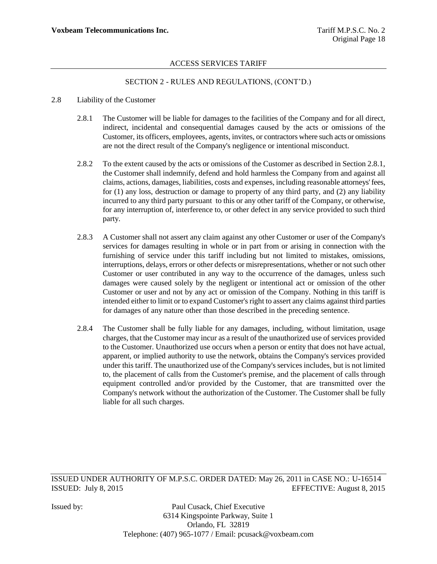# SECTION 2 - RULES AND REGULATIONS, (CONT"D.)

#### 2.8 Liability of the Customer

- 2.8.1 The Customer will be liable for damages to the facilities of the Company and for all direct, indirect, incidental and consequential damages caused by the acts or omissions of the Customer, its officers, employees, agents, invites, or contractors where such acts or omissions are not the direct result of the Company's negligence or intentional misconduct.
- 2.8.2 To the extent caused by the acts or omissions of the Customer as described in Section 2.8.1, the Customer shall indemnify, defend and hold harmless the Company from and against all claims, actions, damages, liabilities, costs and expenses, including reasonable attorneys' fees, for (1) any loss, destruction or damage to property of any third party, and (2) any liability incurred to any third party pursuant to this or any other tariff of the Company, or otherwise, for any interruption of, interference to, or other defect in any service provided to such third party.
- 2.8.3 A Customer shall not assert any claim against any other Customer or user of the Company's services for damages resulting in whole or in part from or arising in connection with the furnishing of service under this tariff including but not limited to mistakes, omissions, interruptions, delays, errors or other defects or misrepresentations, whether or not such other Customer or user contributed in any way to the occurrence of the damages, unless such damages were caused solely by the negligent or intentional act or omission of the other Customer or user and not by any act or omission of the Company. Nothing in this tariff is intended either to limit or to expand Customer's right to assert any claims against third parties for damages of any nature other than those described in the preceding sentence.
- 2.8.4 The Customer shall be fully liable for any damages, including, without limitation, usage charges, that the Customer may incur as a result of the unauthorized use of services provided to the Customer. Unauthorized use occurs when a person or entity that does not have actual, apparent, or implied authority to use the network, obtains the Company's services provided under this tariff. The unauthorized use of the Company's services includes, but is not limited to, the placement of calls from the Customer's premise, and the placement of calls through equipment controlled and/or provided by the Customer, that are transmitted over the Company's network without the authorization of the Customer. The Customer shall be fully liable for all such charges.

ISSUED UNDER AUTHORITY OF M.P.S.C. ORDER DATED: May 26, 2011 in CASE NO.: U-16514 ISSUED: July 8, 2015 EFFECTIVE: August 8, 2015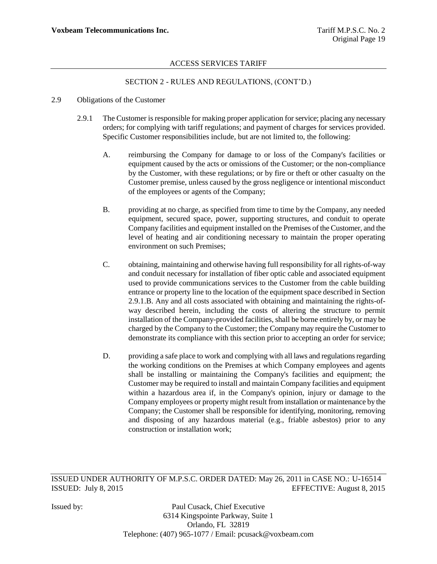# SECTION 2 - RULES AND REGULATIONS, (CONT"D.)

#### 2.9 Obligations of the Customer

- 2.9.1 The Customer is responsible for making proper application for service; placing any necessary orders; for complying with tariff regulations; and payment of charges for services provided. Specific Customer responsibilities include, but are not limited to, the following:
	- A. reimbursing the Company for damage to or loss of the Company's facilities or equipment caused by the acts or omissions of the Customer; or the non-compliance by the Customer, with these regulations; or by fire or theft or other casualty on the Customer premise, unless caused by the gross negligence or intentional misconduct of the employees or agents of the Company;
	- B. providing at no charge, as specified from time to time by the Company, any needed equipment, secured space, power, supporting structures, and conduit to operate Company facilities and equipment installed on the Premises of the Customer, and the level of heating and air conditioning necessary to maintain the proper operating environment on such Premises;
	- C. obtaining, maintaining and otherwise having full responsibility for all rights-of-way and conduit necessary for installation of fiber optic cable and associated equipment used to provide communications services to the Customer from the cable building entrance or property line to the location of the equipment space described in Section 2.9.1.B. Any and all costs associated with obtaining and maintaining the rights-ofway described herein, including the costs of altering the structure to permit installation of the Company-provided facilities, shall be borne entirely by, or may be charged by the Company to the Customer; the Company may require the Customer to demonstrate its compliance with this section prior to accepting an order for service;
	- D. providing a safe place to work and complying with all laws and regulations regarding the working conditions on the Premises at which Company employees and agents shall be installing or maintaining the Company's facilities and equipment; the Customer may be required to install and maintain Company facilities and equipment within a hazardous area if, in the Company's opinion, injury or damage to the Company employees or property might result from installation or maintenance by the Company; the Customer shall be responsible for identifying, monitoring, removing and disposing of any hazardous material (e.g., friable asbestos) prior to any construction or installation work;

ISSUED UNDER AUTHORITY OF M.P.S.C. ORDER DATED: May 26, 2011 in CASE NO.: U-16514 ISSUED: July 8, 2015 EFFECTIVE: August 8, 2015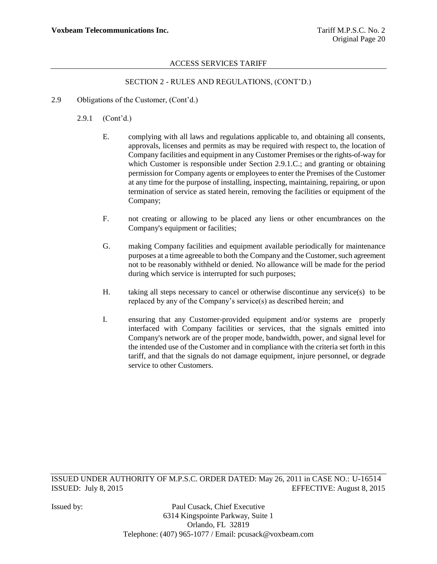# SECTION 2 - RULES AND REGULATIONS, (CONT"D.)

- 2.9 Obligations of the Customer, (Cont'd.)
	- 2.9.1 (Cont"d.)
		- E. complying with all laws and regulations applicable to, and obtaining all consents, approvals, licenses and permits as may be required with respect to, the location of Company facilities and equipment in any Customer Premises or the rights-of-way for which Customer is responsible under Section 2.9.1.C.; and granting or obtaining permission for Company agents or employees to enter the Premises of the Customer at any time for the purpose of installing, inspecting, maintaining, repairing, or upon termination of service as stated herein, removing the facilities or equipment of the Company;
		- F. not creating or allowing to be placed any liens or other encumbrances on the Company's equipment or facilities;
		- G. making Company facilities and equipment available periodically for maintenance purposes at a time agreeable to both the Company and the Customer, such agreement not to be reasonably withheld or denied. No allowance will be made for the period during which service is interrupted for such purposes;
		- H. taking all steps necessary to cancel or otherwise discontinue any service(s) to be replaced by any of the Company"s service(s) as described herein; and
		- I. ensuring that any Customer-provided equipment and/or systems are properly interfaced with Company facilities or services, that the signals emitted into Company's network are of the proper mode, bandwidth, power, and signal level for the intended use of the Customer and in compliance with the criteria set forth in this tariff, and that the signals do not damage equipment, injure personnel, or degrade service to other Customers.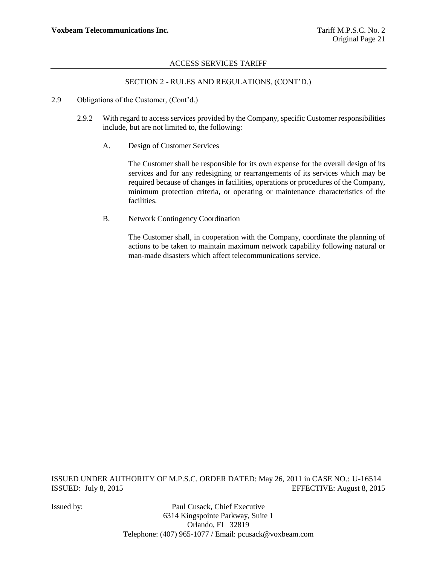# SECTION 2 - RULES AND REGULATIONS, (CONT"D.)

- 2.9 Obligations of the Customer, (Cont'd.)
	- 2.9.2 With regard to access services provided by the Company, specific Customer responsibilities include, but are not limited to, the following:
		- A. Design of Customer Services

The Customer shall be responsible for its own expense for the overall design of its services and for any redesigning or rearrangements of its services which may be required because of changes in facilities, operations or procedures of the Company, minimum protection criteria, or operating or maintenance characteristics of the facilities.

B. Network Contingency Coordination

The Customer shall, in cooperation with the Company, coordinate the planning of actions to be taken to maintain maximum network capability following natural or man-made disasters which affect telecommunications service.

ISSUED UNDER AUTHORITY OF M.P.S.C. ORDER DATED: May 26, 2011 in CASE NO.: U-16514 ISSUED: July 8, 2015 EFFECTIVE: August 8, 2015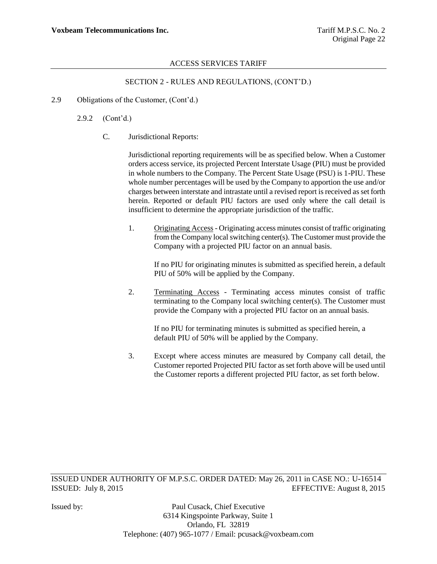# SECTION 2 - RULES AND REGULATIONS, (CONT"D.)

2.9 Obligations of the Customer, (Cont'd.)

2.9.2 (Cont"d.)

C. Jurisdictional Reports:

Jurisdictional reporting requirements will be as specified below. When a Customer orders access service, its projected Percent Interstate Usage (PIU) must be provided in whole numbers to the Company. The Percent State Usage (PSU) is 1-PIU. These whole number percentages will be used by the Company to apportion the use and/or charges between interstate and intrastate until a revised report is received as set forth herein. Reported or default PIU factors are used only where the call detail is insufficient to determine the appropriate jurisdiction of the traffic.

1. Originating Access- Originating access minutes consist of traffic originating from the Company local switching center(s). The Customer must provide the Company with a projected PIU factor on an annual basis.

If no PIU for originating minutes is submitted as specified herein, a default PIU of 50% will be applied by the Company.

2. Terminating Access - Terminating access minutes consist of traffic terminating to the Company local switching center(s). The Customer must provide the Company with a projected PIU factor on an annual basis.

If no PIU for terminating minutes is submitted as specified herein, a default PIU of 50% will be applied by the Company.

3. Except where access minutes are measured by Company call detail, the Customer reported Projected PIU factor as set forth above will be used until the Customer reports a different projected PIU factor, as set forth below.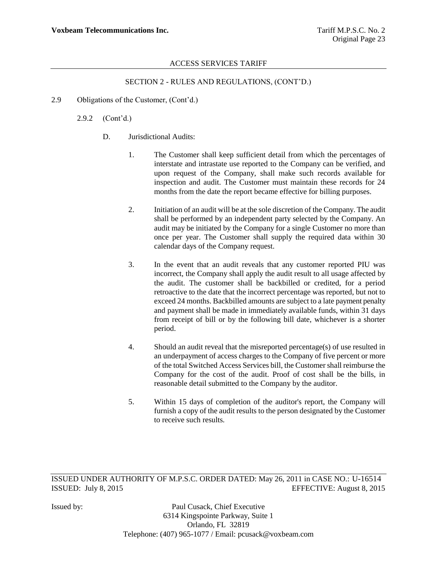# SECTION 2 - RULES AND REGULATIONS, (CONT"D.)

2.9 Obligations of the Customer, (Cont'd.)

2.9.2 (Cont"d.)

- D. Jurisdictional Audits:
	- 1. The Customer shall keep sufficient detail from which the percentages of interstate and intrastate use reported to the Company can be verified, and upon request of the Company, shall make such records available for inspection and audit. The Customer must maintain these records for 24 months from the date the report became effective for billing purposes.
	- 2. Initiation of an audit will be at the sole discretion of the Company. The audit shall be performed by an independent party selected by the Company. An audit may be initiated by the Company for a single Customer no more than once per year. The Customer shall supply the required data within 30 calendar days of the Company request.
	- 3. In the event that an audit reveals that any customer reported PIU was incorrect, the Company shall apply the audit result to all usage affected by the audit. The customer shall be backbilled or credited, for a period retroactive to the date that the incorrect percentage was reported, but not to exceed 24 months. Backbilled amounts are subject to a late payment penalty and payment shall be made in immediately available funds, within 31 days from receipt of bill or by the following bill date, whichever is a shorter period.
	- 4. Should an audit reveal that the misreported percentage(s) of use resulted in an underpayment of access charges to the Company of five percent or more of the total Switched Access Services bill, the Customer shall reimburse the Company for the cost of the audit. Proof of cost shall be the bills, in reasonable detail submitted to the Company by the auditor.
	- 5. Within 15 days of completion of the auditor's report, the Company will furnish a copy of the audit results to the person designated by the Customer to receive such results.

ISSUED UNDER AUTHORITY OF M.P.S.C. ORDER DATED: May 26, 2011 in CASE NO.: U-16514 ISSUED: July 8, 2015 EFFECTIVE: August 8, 2015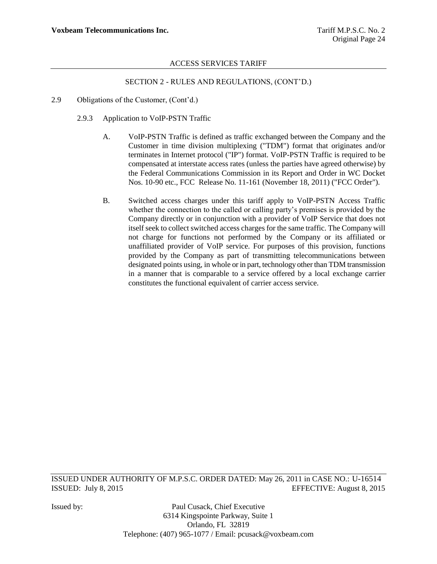### SECTION 2 - RULES AND REGULATIONS, (CONT"D.)

- 2.9 Obligations of the Customer, (Cont'd.)
	- 2.9.3 Application to VoIP-PSTN Traffic
		- A. VoIP-PSTN Traffic is defined as traffic exchanged between the Company and the Customer in time division multiplexing ("TDM") format that originates and/or terminates in Internet protocol ("IP") format. VoIP-PSTN Traffic is required to be compensated at interstate access rates (unless the parties have agreed otherwise) by the Federal Communications Commission in its Report and Order in WC Docket Nos. 10-90 etc., FCC Release No. 11-161 (November 18, 2011) ("FCC Order").
		- B. Switched access charges under this tariff apply to VoIP-PSTN Access Traffic whether the connection to the called or calling party's premises is provided by the Company directly or in conjunction with a provider of VoIP Service that does not itself seek to collect switched access charges for the same traffic. The Company will not charge for functions not performed by the Company or its affiliated or unaffiliated provider of VoIP service. For purposes of this provision, functions provided by the Company as part of transmitting telecommunications between designated points using, in whole or in part, technology other than TDM transmission in a manner that is comparable to a service offered by a local exchange carrier constitutes the functional equivalent of carrier access service.

ISSUED UNDER AUTHORITY OF M.P.S.C. ORDER DATED: May 26, 2011 in CASE NO.: U-16514 ISSUED: July 8, 2015 EFFECTIVE: August 8, 2015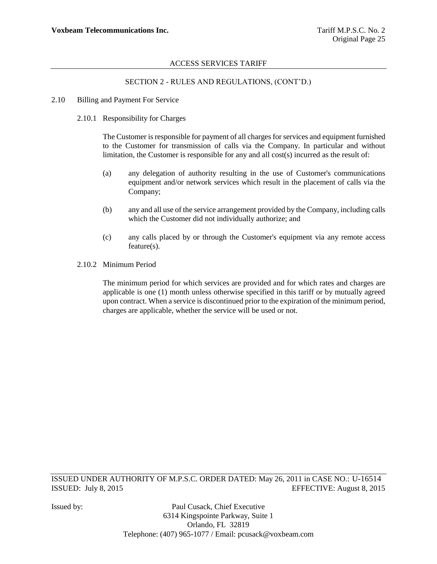# SECTION 2 - RULES AND REGULATIONS, (CONT"D.)

- 2.10 Billing and Payment For Service
	- 2.10.1 Responsibility for Charges

The Customer is responsible for payment of all charges for services and equipment furnished to the Customer for transmission of calls via the Company. In particular and without limitation, the Customer is responsible for any and all cost(s) incurred as the result of:

- (a) any delegation of authority resulting in the use of Customer's communications equipment and/or network services which result in the placement of calls via the Company;
- (b) any and all use of the service arrangement provided by the Company, including calls which the Customer did not individually authorize; and
- (c) any calls placed by or through the Customer's equipment via any remote access feature(s).
- 2.10.2 Minimum Period

The minimum period for which services are provided and for which rates and charges are applicable is one (1) month unless otherwise specified in this tariff or by mutually agreed upon contract. When a service is discontinued prior to the expiration of the minimum period, charges are applicable, whether the service will be used or not.

ISSUED UNDER AUTHORITY OF M.P.S.C. ORDER DATED: May 26, 2011 in CASE NO.: U-16514 ISSUED: July 8, 2015 EFFECTIVE: August 8, 2015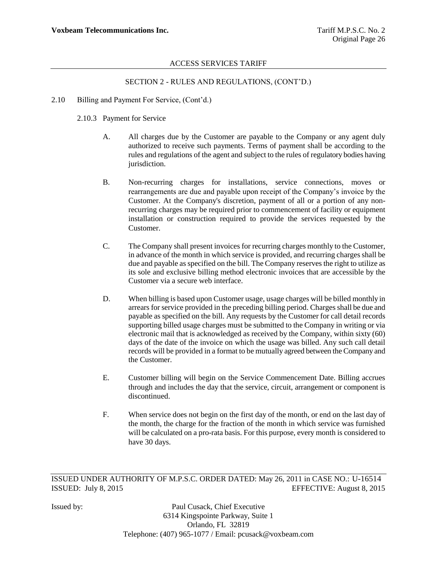# SECTION 2 - RULES AND REGULATIONS, (CONT"D.)

- 2.10 Billing and Payment For Service, (Cont"d.)
	- 2.10.3 Payment for Service
		- A. All charges due by the Customer are payable to the Company or any agent duly authorized to receive such payments. Terms of payment shall be according to the rules and regulations of the agent and subject to the rules of regulatory bodies having jurisdiction.
		- B. Non-recurring charges for installations, service connections, moves or rearrangements are due and payable upon receipt of the Company"s invoice by the Customer. At the Company's discretion, payment of all or a portion of any nonrecurring charges may be required prior to commencement of facility or equipment installation or construction required to provide the services requested by the Customer.
		- C. The Company shall present invoices for recurring charges monthly to the Customer, in advance of the month in which service is provided, and recurring charges shall be due and payable as specified on the bill. The Company reserves the right to utilize as its sole and exclusive billing method electronic invoices that are accessible by the Customer via a secure web interface.
		- D. When billing is based upon Customer usage, usage charges will be billed monthly in arrears for service provided in the preceding billing period. Charges shall be due and payable as specified on the bill. Any requests by the Customer for call detail records supporting billed usage charges must be submitted to the Company in writing or via electronic mail that is acknowledged as received by the Company, within sixty (60) days of the date of the invoice on which the usage was billed. Any such call detail records will be provided in a format to be mutually agreed between the Company and the Customer.
		- E. Customer billing will begin on the Service Commencement Date. Billing accrues through and includes the day that the service, circuit, arrangement or component is discontinued.
		- F. When service does not begin on the first day of the month, or end on the last day of the month, the charge for the fraction of the month in which service was furnished will be calculated on a pro-rata basis. For this purpose, every month is considered to have 30 days.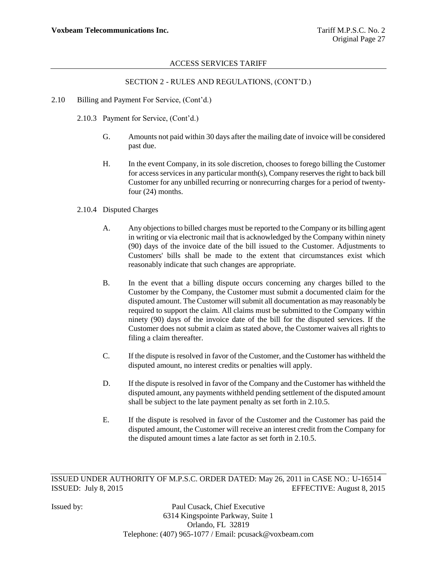# SECTION 2 - RULES AND REGULATIONS, (CONT"D.)

- 2.10 Billing and Payment For Service, (Cont'd.)
	- 2.10.3 Payment for Service, (Cont"d.)
		- G. Amounts not paid within 30 days after the mailing date of invoice will be considered past due.
		- H. In the event Company, in its sole discretion, chooses to forego billing the Customer for access services in any particular month(s), Company reserves the right to back bill Customer for any unbilled recurring or nonrecurring charges for a period of twentyfour (24) months.

#### 2.10.4 Disputed Charges

- A. Any objections to billed charges must be reported to the Company or its billing agent in writing or via electronic mail that is acknowledged by the Company within ninety (90) days of the invoice date of the bill issued to the Customer. Adjustments to Customers' bills shall be made to the extent that circumstances exist which reasonably indicate that such changes are appropriate.
- B. In the event that a billing dispute occurs concerning any charges billed to the Customer by the Company, the Customer must submit a documented claim for the disputed amount. The Customer will submit all documentation as may reasonably be required to support the claim. All claims must be submitted to the Company within ninety (90) days of the invoice date of the bill for the disputed services. If the Customer does not submit a claim as stated above, the Customer waives all rights to filing a claim thereafter.
- C. If the dispute is resolved in favor of the Customer, and the Customer has withheld the disputed amount, no interest credits or penalties will apply.
- D. If the dispute is resolved in favor of the Company and the Customer has withheld the disputed amount, any payments withheld pending settlement of the disputed amount shall be subject to the late payment penalty as set forth in 2.10.5.
- E. If the dispute is resolved in favor of the Customer and the Customer has paid the disputed amount, the Customer will receive an interest credit from the Company for the disputed amount times a late factor as set forth in 2.10.5.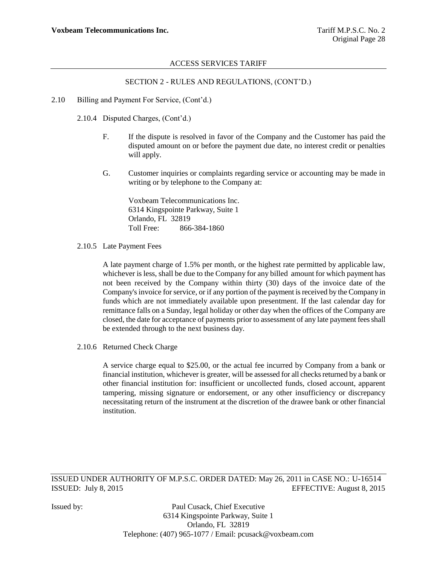# SECTION 2 - RULES AND REGULATIONS, (CONT"D.)

2.10 Billing and Payment For Service, (Cont"d.)

2.10.4 Disputed Charges, (Cont"d.)

- F. If the dispute is resolved in favor of the Company and the Customer has paid the disputed amount on or before the payment due date, no interest credit or penalties will apply.
- G. Customer inquiries or complaints regarding service or accounting may be made in writing or by telephone to the Company at:

Voxbeam Telecommunications Inc. 6314 Kingspointe Parkway, Suite 1 Orlando, FL 32819 Toll Free: 866-384-1860

2.10.5 Late Payment Fees

A late payment charge of 1.5% per month, or the highest rate permitted by applicable law, whichever is less, shall be due to the Company for any billed amount for which payment has not been received by the Company within thirty (30) days of the invoice date of the Company's invoice for service, or if any portion of the payment is received by the Company in funds which are not immediately available upon presentment. If the last calendar day for remittance falls on a Sunday, legal holiday or other day when the offices of the Company are closed, the date for acceptance of payments prior to assessment of any late payment fees shall be extended through to the next business day.

2.10.6 Returned Check Charge

A service charge equal to \$25.00, or the actual fee incurred by Company from a bank or financial institution, whichever is greater, will be assessed for all checks returned by a bank or other financial institution for: insufficient or uncollected funds, closed account, apparent tampering, missing signature or endorsement, or any other insufficiency or discrepancy necessitating return of the instrument at the discretion of the drawee bank or other financial institution.

ISSUED UNDER AUTHORITY OF M.P.S.C. ORDER DATED: May 26, 2011 in CASE NO.: U-16514 ISSUED: July 8, 2015 EFFECTIVE: August 8, 2015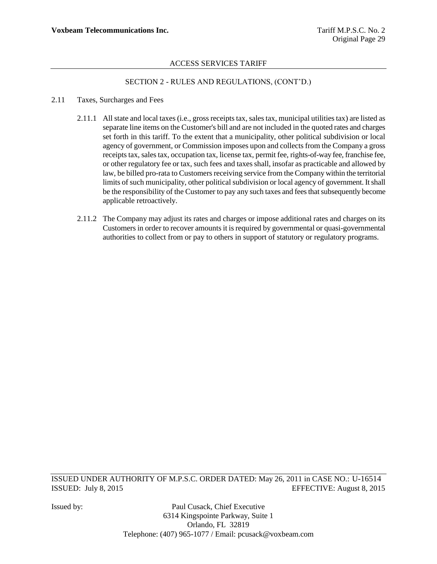# SECTION 2 - RULES AND REGULATIONS, (CONT"D.)

#### 2.11 Taxes, Surcharges and Fees

- 2.11.1 All state and local taxes (i.e., gross receipts tax, sales tax, municipal utilities tax) are listed as separate line items on the Customer's bill and are not included in the quoted rates and charges set forth in this tariff. To the extent that a municipality, other political subdivision or local agency of government, or Commission imposes upon and collects from the Company a gross receipts tax, sales tax, occupation tax, license tax, permit fee, rights-of-way fee, franchise fee, or other regulatory fee or tax, such fees and taxes shall, insofar as practicable and allowed by law, be billed pro-rata to Customers receiving service from the Company within the territorial limits of such municipality, other political subdivision or local agency of government. It shall be the responsibility of the Customer to pay any such taxes and fees that subsequently become applicable retroactively.
- 2.11.2 The Company may adjust its rates and charges or impose additional rates and charges on its Customers in order to recover amounts it is required by governmental or quasi-governmental authorities to collect from or pay to others in support of statutory or regulatory programs.

ISSUED UNDER AUTHORITY OF M.P.S.C. ORDER DATED: May 26, 2011 in CASE NO.: U-16514 ISSUED: July 8, 2015 EFFECTIVE: August 8, 2015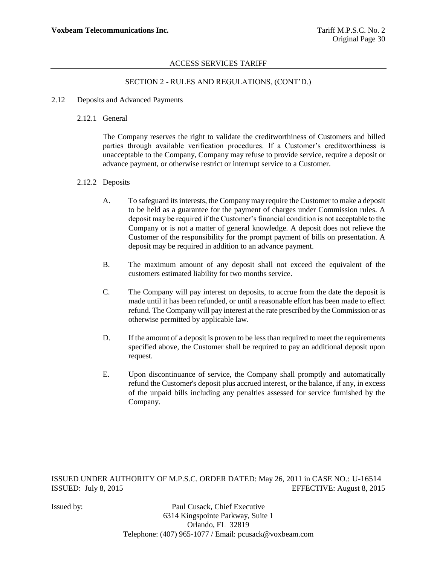# SECTION 2 - RULES AND REGULATIONS, (CONT"D.)

- 2.12 Deposits and Advanced Payments
	- 2.12.1 General

The Company reserves the right to validate the creditworthiness of Customers and billed parties through available verification procedures. If a Customer"s creditworthiness is unacceptable to the Company, Company may refuse to provide service, require a deposit or advance payment, or otherwise restrict or interrupt service to a Customer.

#### 2.12.2 Deposits

- A. To safeguard its interests, the Company may require the Customer to make a deposit to be held as a guarantee for the payment of charges under Commission rules. A deposit may be required if the Customer"s financial condition is not acceptable to the Company or is not a matter of general knowledge. A deposit does not relieve the Customer of the responsibility for the prompt payment of bills on presentation. A deposit may be required in addition to an advance payment.
- B. The maximum amount of any deposit shall not exceed the equivalent of the customers estimated liability for two months service.
- C. The Company will pay interest on deposits, to accrue from the date the deposit is made until it has been refunded, or until a reasonable effort has been made to effect refund. The Company will pay interest at the rate prescribed by the Commission or as otherwise permitted by applicable law.
- D. If the amount of a deposit is proven to be less than required to meet the requirements specified above, the Customer shall be required to pay an additional deposit upon request.
- E. Upon discontinuance of service, the Company shall promptly and automatically refund the Customer's deposit plus accrued interest, or the balance, if any, in excess of the unpaid bills including any penalties assessed for service furnished by the Company.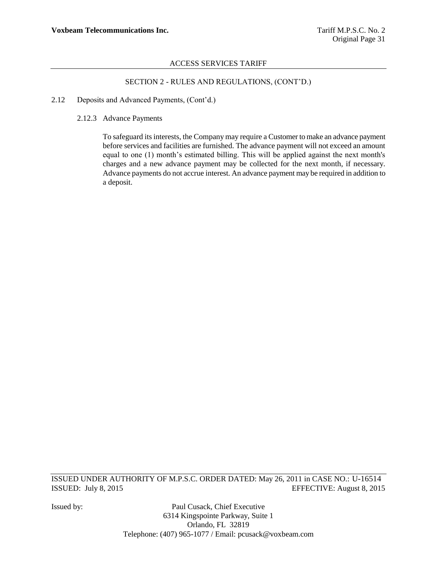# SECTION 2 - RULES AND REGULATIONS, (CONT"D.)

- 2.12 Deposits and Advanced Payments, (Cont"d.)
	- 2.12.3 Advance Payments

To safeguard its interests, the Company may require a Customer to make an advance payment before services and facilities are furnished. The advance payment will not exceed an amount equal to one (1) month"s estimated billing. This will be applied against the next month's charges and a new advance payment may be collected for the next month, if necessary. Advance payments do not accrue interest. An advance payment may be required in addition to a deposit.

ISSUED UNDER AUTHORITY OF M.P.S.C. ORDER DATED: May 26, 2011 in CASE NO.: U-16514 ISSUED: July 8, 2015 EFFECTIVE: August 8, 2015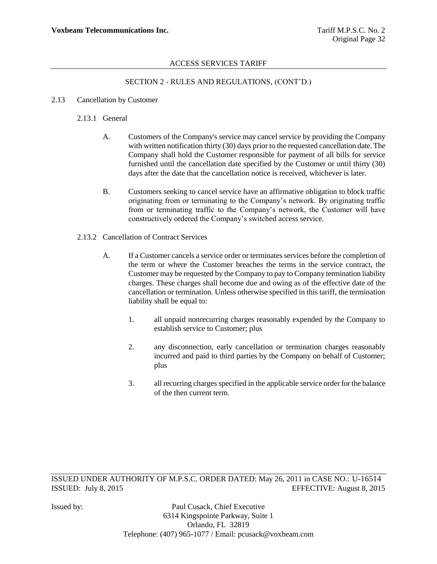# SECTION 2 - RULES AND REGULATIONS, (CONT"D.)

## 2.13 Cancellation by Customer

# 2.13.1 General

- A. Customers of the Company's service may cancel service by providing the Company with written notification thirty (30) days prior to the requested cancellation date. The Company shall hold the Customer responsible for payment of all bills for service furnished until the cancellation date specified by the Customer or until thirty (30) days after the date that the cancellation notice is received, whichever is later.
- B. Customers seeking to cancel service have an affirmative obligation to block traffic originating from or terminating to the Company"s network. By originating traffic from or terminating traffic to the Company"s network, the Customer will have constructively ordered the Company"s switched access service.
- 2.13.2 Cancellation of Contract Services
	- A. If a Customer cancels a service order or terminates services before the completion of the term or where the Customer breaches the terms in the service contract, the Customer may be requested by the Company to pay to Company termination liability charges. These charges shall become due and owing as of the effective date of the cancellation or termination. Unless otherwise specified in this tariff, the termination liability shall be equal to:
		- 1. all unpaid nonrecurring charges reasonably expended by the Company to establish service to Customer; plus
		- 2. any disconnection, early cancellation or termination charges reasonably incurred and paid to third parties by the Company on behalf of Customer; plus
		- 3. all recurring charges specified in the applicable service order for the balance of the then current term.

ISSUED UNDER AUTHORITY OF M.P.S.C. ORDER DATED: May 26, 2011 in CASE NO.: U-16514 ISSUED: July 8, 2015 EFFECTIVE: August 8, 2015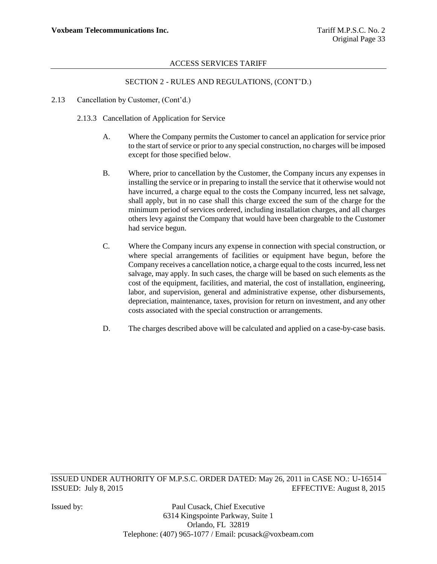# SECTION 2 - RULES AND REGULATIONS, (CONT"D.)

- 2.13 Cancellation by Customer, (Cont'd.)
	- 2.13.3 Cancellation of Application for Service
		- A. Where the Company permits the Customer to cancel an application for service prior to the start of service or prior to any special construction, no charges will be imposed except for those specified below.
		- B. Where, prior to cancellation by the Customer, the Company incurs any expenses in installing the service or in preparing to install the service that it otherwise would not have incurred, a charge equal to the costs the Company incurred, less net salvage, shall apply, but in no case shall this charge exceed the sum of the charge for the minimum period of services ordered, including installation charges, and all charges others levy against the Company that would have been chargeable to the Customer had service begun.
		- C. Where the Company incurs any expense in connection with special construction, or where special arrangements of facilities or equipment have begun, before the Company receives a cancellation notice, a charge equal to the costs incurred, less net salvage, may apply. In such cases, the charge will be based on such elements as the cost of the equipment, facilities, and material, the cost of installation, engineering, labor, and supervision, general and administrative expense, other disbursements, depreciation, maintenance, taxes, provision for return on investment, and any other costs associated with the special construction or arrangements.
		- D. The charges described above will be calculated and applied on a case-by-case basis.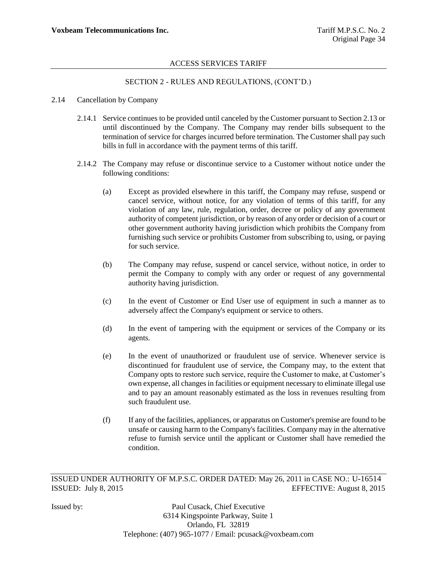# SECTION 2 - RULES AND REGULATIONS, (CONT"D.)

#### 2.14 Cancellation by Company

- 2.14.1 Service continues to be provided until canceled by the Customer pursuant to Section 2.13 or until discontinued by the Company. The Company may render bills subsequent to the termination of service for charges incurred before termination. The Customer shall pay such bills in full in accordance with the payment terms of this tariff.
- 2.14.2 The Company may refuse or discontinue service to a Customer without notice under the following conditions:
	- (a) Except as provided elsewhere in this tariff, the Company may refuse, suspend or cancel service, without notice, for any violation of terms of this tariff, for any violation of any law, rule, regulation, order, decree or policy of any government authority of competent jurisdiction, or by reason of any order or decision of a court or other government authority having jurisdiction which prohibits the Company from furnishing such service or prohibits Customer from subscribing to, using, or paying for such service.
	- (b) The Company may refuse, suspend or cancel service, without notice, in order to permit the Company to comply with any order or request of any governmental authority having jurisdiction.
	- (c) In the event of Customer or End User use of equipment in such a manner as to adversely affect the Company's equipment or service to others.
	- (d) In the event of tampering with the equipment or services of the Company or its agents.
	- (e) In the event of unauthorized or fraudulent use of service. Whenever service is discontinued for fraudulent use of service, the Company may, to the extent that Company opts to restore such service, require the Customer to make, at Customer"s own expense, all changes in facilities or equipment necessary to eliminate illegal use and to pay an amount reasonably estimated as the loss in revenues resulting from such fraudulent use.
	- (f) If any of the facilities, appliances, or apparatus on Customer's premise are found to be unsafe or causing harm to the Company's facilities. Company may in the alternative refuse to furnish service until the applicant or Customer shall have remedied the condition.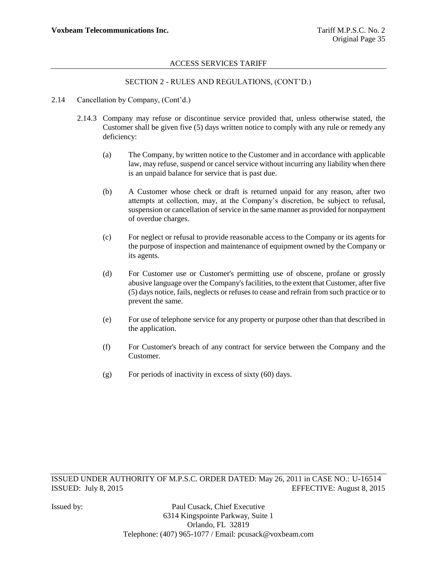# SECTION 2 - RULES AND REGULATIONS, (CONT"D.)

- 2.14 Cancellation by Company, (Cont'd.)
	- 2.14.3 Company may refuse or discontinue service provided that, unless otherwise stated, the Customer shall be given five (5) days written notice to comply with any rule or remedy any deficiency:
		- (a) The Company, by written notice to the Customer and in accordance with applicable law, may refuse, suspend or cancel service without incurring any liability when there is an unpaid balance for service that is past due.
		- (b) A Customer whose check or draft is returned unpaid for any reason, after two attempts at collection, may, at the Company"s discretion, be subject to refusal, suspension or cancellation of service in the same manner as provided for nonpayment of overdue charges.
		- (c) For neglect or refusal to provide reasonable access to the Company or its agents for the purpose of inspection and maintenance of equipment owned by the Company or its agents.
		- (d) For Customer use or Customer's permitting use of obscene, profane or grossly abusive language over the Company's facilities, to the extent that Customer, after five (5) days notice, fails, neglects or refuses to cease and refrain from such practice or to prevent the same.
		- (e) For use of telephone service for any property or purpose other than that described in the application.
		- (f) For Customer's breach of any contract for service between the Company and the Customer.
		- (g) For periods of inactivity in excess of sixty (60) days.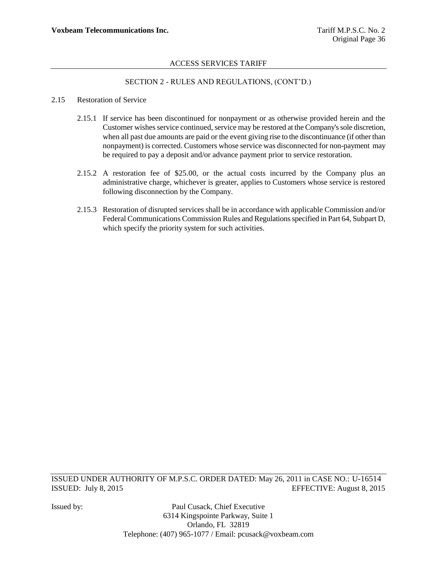# SECTION 2 - RULES AND REGULATIONS, (CONT"D.)

#### 2.15 Restoration of Service

- 2.15.1 If service has been discontinued for nonpayment or as otherwise provided herein and the Customer wishes service continued, service may be restored at the Company's sole discretion, when all past due amounts are paid or the event giving rise to the discontinuance (if other than nonpayment) is corrected. Customers whose service was disconnected for non-payment may be required to pay a deposit and/or advance payment prior to service restoration.
- 2.15.2 A restoration fee of \$25.00, or the actual costs incurred by the Company plus an administrative charge, whichever is greater, applies to Customers whose service is restored following disconnection by the Company.
- 2.15.3 Restoration of disrupted services shall be in accordance with applicable Commission and/or Federal Communications Commission Rules and Regulations specified in Part 64, Subpart D, which specify the priority system for such activities.

ISSUED UNDER AUTHORITY OF M.P.S.C. ORDER DATED: May 26, 2011 in CASE NO.: U-16514 ISSUED: July 8, 2015 EFFECTIVE: August 8, 2015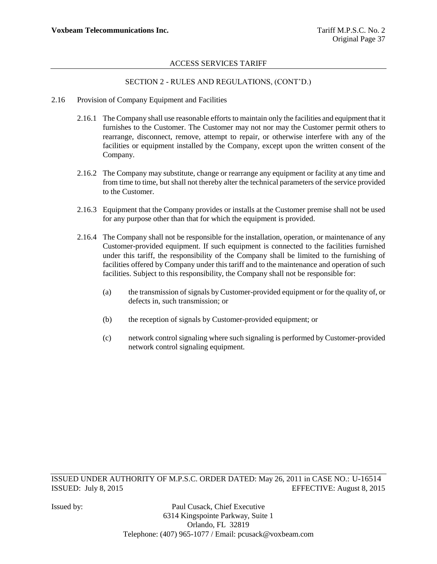# SECTION 2 - RULES AND REGULATIONS, (CONT"D.)

- 2.16 Provision of Company Equipment and Facilities
	- 2.16.1 The Company shall use reasonable efforts to maintain only the facilities and equipment that it furnishes to the Customer. The Customer may not nor may the Customer permit others to rearrange, disconnect, remove, attempt to repair, or otherwise interfere with any of the facilities or equipment installed by the Company, except upon the written consent of the Company.
	- 2.16.2 The Company may substitute, change or rearrange any equipment or facility at any time and from time to time, but shall not thereby alter the technical parameters of the service provided to the Customer.
	- 2.16.3 Equipment that the Company provides or installs at the Customer premise shall not be used for any purpose other than that for which the equipment is provided.
	- 2.16.4 The Company shall not be responsible for the installation, operation, or maintenance of any Customer-provided equipment. If such equipment is connected to the facilities furnished under this tariff, the responsibility of the Company shall be limited to the furnishing of facilities offered by Company under this tariff and to the maintenance and operation of such facilities. Subject to this responsibility, the Company shall not be responsible for:
		- (a) the transmission of signals by Customer-provided equipment or for the quality of, or defects in, such transmission; or
		- (b) the reception of signals by Customer-provided equipment; or
		- (c) network control signaling where such signaling is performed by Customer-provided network control signaling equipment.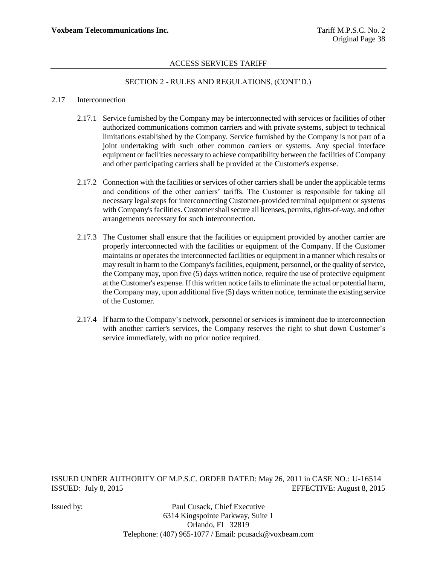# SECTION 2 - RULES AND REGULATIONS, (CONT"D.)

#### 2.17 Interconnection

- 2.17.1 Service furnished by the Company may be interconnected with services or facilities of other authorized communications common carriers and with private systems, subject to technical limitations established by the Company. Service furnished by the Company is not part of a joint undertaking with such other common carriers or systems. Any special interface equipment or facilities necessary to achieve compatibility between the facilities of Company and other participating carriers shall be provided at the Customer's expense.
- 2.17.2 Connection with the facilities or services of other carriers shall be under the applicable terms and conditions of the other carriers' tariffs. The Customer is responsible for taking all necessary legal steps for interconnecting Customer-provided terminal equipment or systems with Company's facilities. Customer shall secure all licenses, permits, rights-of-way, and other arrangements necessary for such interconnection.
- 2.17.3 The Customer shall ensure that the facilities or equipment provided by another carrier are properly interconnected with the facilities or equipment of the Company. If the Customer maintains or operates the interconnected facilities or equipment in a manner which results or may result in harm to the Company's facilities, equipment, personnel, or the quality of service, the Company may, upon five (5) days written notice, require the use of protective equipment at the Customer's expense. If this written notice fails to eliminate the actual or potential harm, the Company may, upon additional five (5) days written notice, terminate the existing service of the Customer.
- 2.17.4 If harm to the Company"s network, personnel or services is imminent due to interconnection with another carrier's services, the Company reserves the right to shut down Customer's service immediately, with no prior notice required.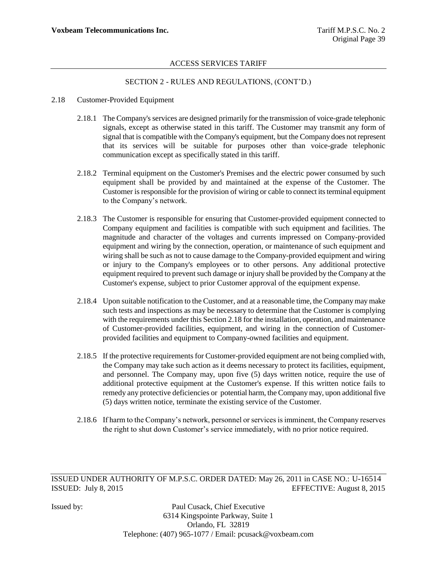# SECTION 2 - RULES AND REGULATIONS, (CONT"D.)

#### 2.18 Customer-Provided Equipment

- 2.18.1 The Company's services are designed primarily for the transmission of voice-grade telephonic signals, except as otherwise stated in this tariff. The Customer may transmit any form of signal that is compatible with the Company's equipment, but the Company does not represent that its services will be suitable for purposes other than voice-grade telephonic communication except as specifically stated in this tariff.
- 2.18.2 Terminal equipment on the Customer's Premises and the electric power consumed by such equipment shall be provided by and maintained at the expense of the Customer. The Customer is responsible for the provision of wiring or cable to connect its terminal equipment to the Company"s network.
- 2.18.3 The Customer is responsible for ensuring that Customer-provided equipment connected to Company equipment and facilities is compatible with such equipment and facilities. The magnitude and character of the voltages and currents impressed on Company-provided equipment and wiring by the connection, operation, or maintenance of such equipment and wiring shall be such as not to cause damage to the Company-provided equipment and wiring or injury to the Company's employees or to other persons. Any additional protective equipment required to prevent such damage or injury shall be provided by the Company at the Customer's expense, subject to prior Customer approval of the equipment expense.
- 2.18.4 Upon suitable notification to the Customer, and at a reasonable time, the Company may make such tests and inspections as may be necessary to determine that the Customer is complying with the requirements under this Section 2.18 for the installation, operation, and maintenance of Customer-provided facilities, equipment, and wiring in the connection of Customerprovided facilities and equipment to Company-owned facilities and equipment.
- 2.18.5 If the protective requirements for Customer-provided equipment are not being complied with, the Company may take such action as it deems necessary to protect its facilities, equipment, and personnel. The Company may, upon five (5) days written notice, require the use of additional protective equipment at the Customer's expense. If this written notice fails to remedy any protective deficiencies or potential harm, the Company may, upon additional five (5) days written notice, terminate the existing service of the Customer.
- 2.18.6 If harm to the Company"s network, personnel or services is imminent, the Company reserves the right to shut down Customer's service immediately, with no prior notice required.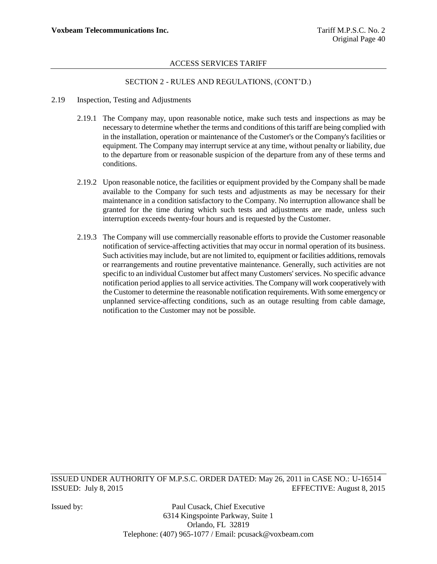# SECTION 2 - RULES AND REGULATIONS, (CONT"D.)

- 2.19 Inspection, Testing and Adjustments
	- 2.19.1 The Company may, upon reasonable notice, make such tests and inspections as may be necessary to determine whether the terms and conditions of this tariff are being complied with in the installation, operation or maintenance of the Customer's or the Company's facilities or equipment. The Company may interrupt service at any time, without penalty or liability, due to the departure from or reasonable suspicion of the departure from any of these terms and conditions.
	- 2.19.2 Upon reasonable notice, the facilities or equipment provided by the Company shall be made available to the Company for such tests and adjustments as may be necessary for their maintenance in a condition satisfactory to the Company. No interruption allowance shall be granted for the time during which such tests and adjustments are made, unless such interruption exceeds twenty-four hours and is requested by the Customer.
	- 2.19.3 The Company will use commercially reasonable efforts to provide the Customer reasonable notification of service-affecting activities that may occur in normal operation of its business. Such activities may include, but are not limited to, equipment or facilities additions, removals or rearrangements and routine preventative maintenance. Generally, such activities are not specific to an individual Customer but affect many Customers' services. No specific advance notification period applies to all service activities. The Company will work cooperatively with the Customer to determine the reasonable notification requirements. With some emergency or unplanned service-affecting conditions, such as an outage resulting from cable damage, notification to the Customer may not be possible.

ISSUED UNDER AUTHORITY OF M.P.S.C. ORDER DATED: May 26, 2011 in CASE NO.: U-16514 ISSUED: July 8, 2015 EFFECTIVE: August 8, 2015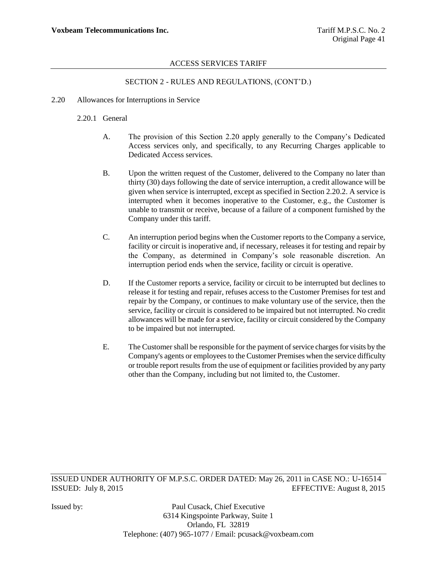# SECTION 2 - RULES AND REGULATIONS, (CONT"D.)

2.20 Allowances for Interruptions in Service

### 2.20.1 General

- A. The provision of this Section 2.20 apply generally to the Company"s Dedicated Access services only, and specifically, to any Recurring Charges applicable to Dedicated Access services.
- B. Upon the written request of the Customer, delivered to the Company no later than thirty (30) days following the date of service interruption, a credit allowance will be given when service is interrupted, except as specified in Section 2.20.2. A service is interrupted when it becomes inoperative to the Customer, e.g., the Customer is unable to transmit or receive, because of a failure of a component furnished by the Company under this tariff.
- C. An interruption period begins when the Customer reports to the Company a service, facility or circuit is inoperative and, if necessary, releases it for testing and repair by the Company, as determined in Company"s sole reasonable discretion. An interruption period ends when the service, facility or circuit is operative.
- D. If the Customer reports a service, facility or circuit to be interrupted but declines to release it for testing and repair, refuses access to the Customer Premises for test and repair by the Company, or continues to make voluntary use of the service, then the service, facility or circuit is considered to be impaired but not interrupted. No credit allowances will be made for a service, facility or circuit considered by the Company to be impaired but not interrupted.
- E. The Customer shall be responsible for the payment of service charges for visits by the Company's agents or employees to the Customer Premises when the service difficulty or trouble report results from the use of equipment or facilities provided by any party other than the Company, including but not limited to, the Customer.

ISSUED UNDER AUTHORITY OF M.P.S.C. ORDER DATED: May 26, 2011 in CASE NO.: U-16514 ISSUED: July 8, 2015 EFFECTIVE: August 8, 2015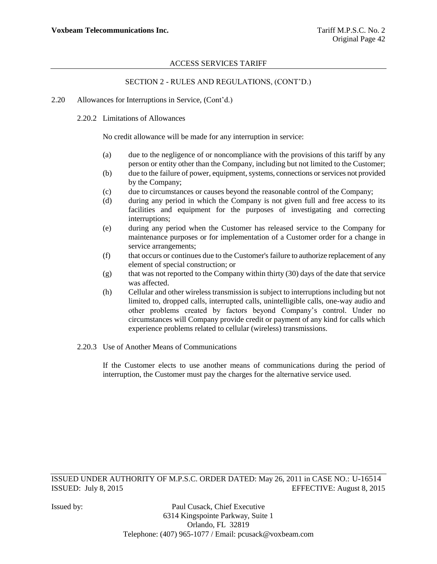# SECTION 2 - RULES AND REGULATIONS, (CONT"D.)

- 2.20 Allowances for Interruptions in Service, (Cont"d.)
	- 2.20.2 Limitations of Allowances

No credit allowance will be made for any interruption in service:

- (a) due to the negligence of or noncompliance with the provisions of this tariff by any person or entity other than the Company, including but not limited to the Customer;
- (b) due to the failure of power, equipment, systems, connections or services not provided by the Company;
- (c) due to circumstances or causes beyond the reasonable control of the Company;
- (d) during any period in which the Company is not given full and free access to its facilities and equipment for the purposes of investigating and correcting interruptions;
- (e) during any period when the Customer has released service to the Company for maintenance purposes or for implementation of a Customer order for a change in service arrangements;
- (f) that occurs or continues due to the Customer's failure to authorize replacement of any element of special construction; or
- (g) that was not reported to the Company within thirty (30) days of the date that service was affected.
- (h) Cellular and other wireless transmission is subject to interruptions including but not limited to, dropped calls, interrupted calls, unintelligible calls, one-way audio and other problems created by factors beyond Company"s control. Under no circumstances will Company provide credit or payment of any kind for calls which experience problems related to cellular (wireless) transmissions.
- 2.20.3 Use of Another Means of Communications

If the Customer elects to use another means of communications during the period of interruption, the Customer must pay the charges for the alternative service used.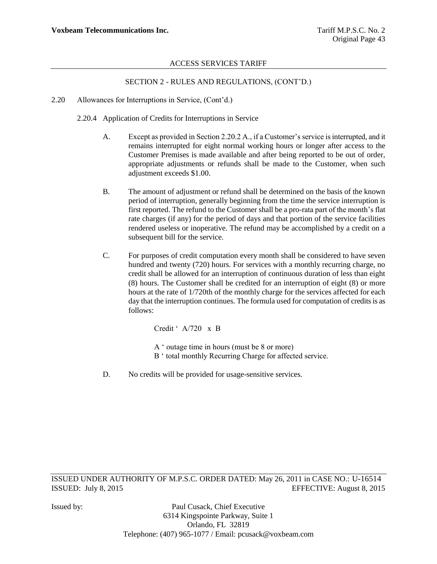# SECTION 2 - RULES AND REGULATIONS, (CONT"D.)

- 2.20 Allowances for Interruptions in Service, (Cont"d.)
	- 2.20.4 Application of Credits for Interruptions in Service
		- A. Except as provided in Section 2.20.2 A., if a Customer"s service is interrupted, and it remains interrupted for eight normal working hours or longer after access to the Customer Premises is made available and after being reported to be out of order, appropriate adjustments or refunds shall be made to the Customer, when such adjustment exceeds \$1.00.
		- B. The amount of adjustment or refund shall be determined on the basis of the known period of interruption, generally beginning from the time the service interruption is first reported. The refund to the Customer shall be a pro-rata part of the month's flat rate charges (if any) for the period of days and that portion of the service facilities rendered useless or inoperative. The refund may be accomplished by a credit on a subsequent bill for the service.
		- C. For purposes of credit computation every month shall be considered to have seven hundred and twenty (720) hours. For services with a monthly recurring charge, no credit shall be allowed for an interruption of continuous duration of less than eight (8) hours. The Customer shall be credited for an interruption of eight (8) or more hours at the rate of 1/720th of the monthly charge for the services affected for each day that the interruption continues. The formula used for computation of credits is as follows:

Credit ' A/720 x B

- A " outage time in hours (must be 8 or more)
- B ' total monthly Recurring Charge for affected service.
- D. No credits will be provided for usage-sensitive services.

ISSUED UNDER AUTHORITY OF M.P.S.C. ORDER DATED: May 26, 2011 in CASE NO.: U-16514 ISSUED: July 8, 2015 EFFECTIVE: August 8, 2015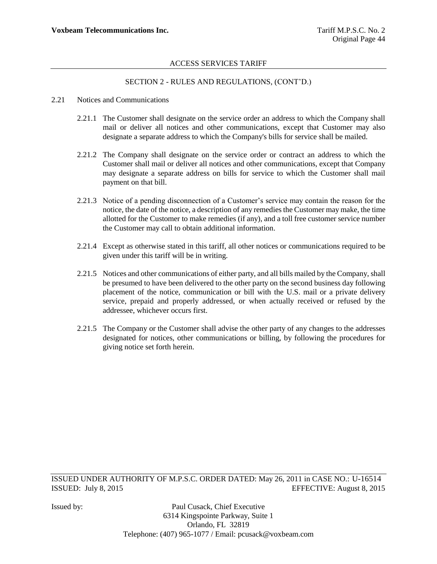# SECTION 2 - RULES AND REGULATIONS, (CONT"D.)

#### 2.21 Notices and Communications

- 2.21.1 The Customer shall designate on the service order an address to which the Company shall mail or deliver all notices and other communications, except that Customer may also designate a separate address to which the Company's bills for service shall be mailed.
- 2.21.2 The Company shall designate on the service order or contract an address to which the Customer shall mail or deliver all notices and other communications, except that Company may designate a separate address on bills for service to which the Customer shall mail payment on that bill.
- 2.21.3 Notice of a pending disconnection of a Customer's service may contain the reason for the notice, the date of the notice, a description of any remedies the Customer may make, the time allotted for the Customer to make remedies (if any), and a toll free customer service number the Customer may call to obtain additional information.
- 2.21.4 Except as otherwise stated in this tariff, all other notices or communications required to be given under this tariff will be in writing.
- 2.21.5 Notices and other communications of either party, and all bills mailed by the Company, shall be presumed to have been delivered to the other party on the second business day following placement of the notice, communication or bill with the U.S. mail or a private delivery service, prepaid and properly addressed, or when actually received or refused by the addressee, whichever occurs first.
- 2.21.5 The Company or the Customer shall advise the other party of any changes to the addresses designated for notices, other communications or billing, by following the procedures for giving notice set forth herein.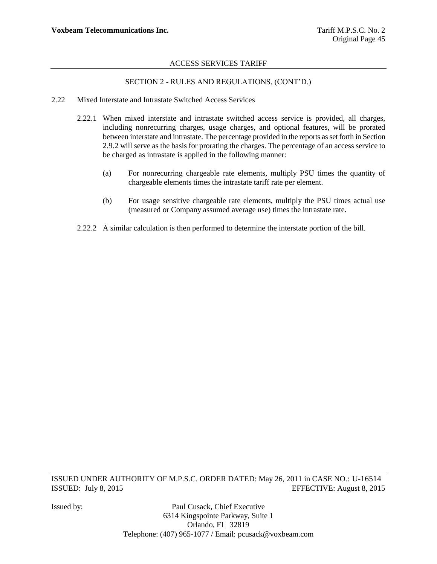# SECTION 2 - RULES AND REGULATIONS, (CONT"D.)

- 2.22 Mixed Interstate and Intrastate Switched Access Services
	- 2.22.1 When mixed interstate and intrastate switched access service is provided, all charges, including nonrecurring charges, usage charges, and optional features, will be prorated between interstate and intrastate. The percentage provided in the reports as set forth in Section 2.9.2 will serve as the basis for prorating the charges. The percentage of an access service to be charged as intrastate is applied in the following manner:
		- (a) For nonrecurring chargeable rate elements, multiply PSU times the quantity of chargeable elements times the intrastate tariff rate per element.
		- (b) For usage sensitive chargeable rate elements, multiply the PSU times actual use (measured or Company assumed average use) times the intrastate rate.
	- 2.22.2 A similar calculation is then performed to determine the interstate portion of the bill.

ISSUED UNDER AUTHORITY OF M.P.S.C. ORDER DATED: May 26, 2011 in CASE NO.: U-16514 ISSUED: July 8, 2015 EFFECTIVE: August 8, 2015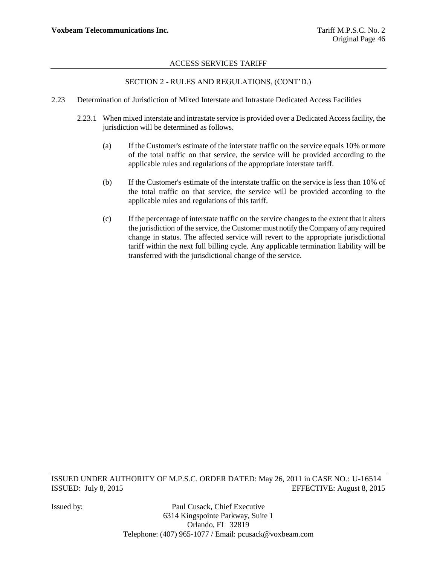# SECTION 2 - RULES AND REGULATIONS, (CONT"D.)

- 2.23 Determination of Jurisdiction of Mixed Interstate and Intrastate Dedicated Access Facilities
	- 2.23.1 When mixed interstate and intrastate service is provided over a Dedicated Access facility, the jurisdiction will be determined as follows.
		- (a) If the Customer's estimate of the interstate traffic on the service equals 10% or more of the total traffic on that service, the service will be provided according to the applicable rules and regulations of the appropriate interstate tariff.
		- (b) If the Customer's estimate of the interstate traffic on the service is less than 10% of the total traffic on that service, the service will be provided according to the applicable rules and regulations of this tariff.
		- (c) If the percentage of interstate traffic on the service changes to the extent that it alters the jurisdiction of the service, the Customer must notify the Company of any required change in status. The affected service will revert to the appropriate jurisdictional tariff within the next full billing cycle. Any applicable termination liability will be transferred with the jurisdictional change of the service.

ISSUED UNDER AUTHORITY OF M.P.S.C. ORDER DATED: May 26, 2011 in CASE NO.: U-16514 ISSUED: July 8, 2015 EFFECTIVE: August 8, 2015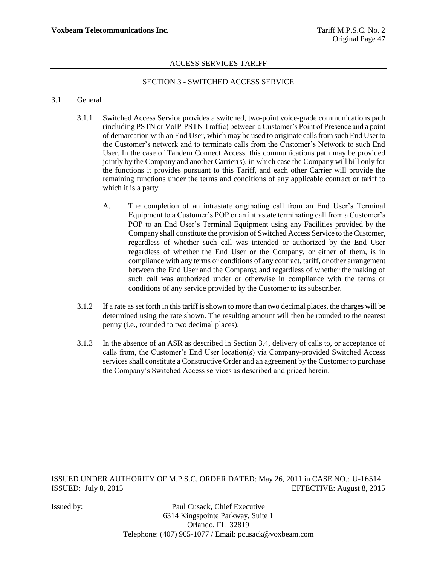# SECTION 3 - SWITCHED ACCESS SERVICE

#### 3.1 General

- 3.1.1 Switched Access Service provides a switched, two-point voice-grade communications path (including PSTN or VoIP-PSTN Traffic) between a Customer"s Point of Presence and a point of demarcation with an End User, which may be used to originate calls from such End User to the Customer"s network and to terminate calls from the Customer"s Network to such End User. In the case of Tandem Connect Access, this communications path may be provided jointly by the Company and another Carrier(s), in which case the Company will bill only for the functions it provides pursuant to this Tariff, and each other Carrier will provide the remaining functions under the terms and conditions of any applicable contract or tariff to which it is a party.
	- A. The completion of an intrastate originating call from an End User"s Terminal Equipment to a Customer's POP or an intrastate terminating call from a Customer's POP to an End User's Terminal Equipment using any Facilities provided by the Company shall constitute the provision of Switched Access Service to the Customer, regardless of whether such call was intended or authorized by the End User regardless of whether the End User or the Company, or either of them, is in compliance with any terms or conditions of any contract, tariff, or other arrangement between the End User and the Company; and regardless of whether the making of such call was authorized under or otherwise in compliance with the terms or conditions of any service provided by the Customer to its subscriber.
- 3.1.2 If a rate as set forth in this tariff is shown to more than two decimal places, the charges will be determined using the rate shown. The resulting amount will then be rounded to the nearest penny (i.e., rounded to two decimal places).
- 3.1.3 In the absence of an ASR as described in Section 3.4, delivery of calls to, or acceptance of calls from, the Customer"s End User location(s) via Company-provided Switched Access services shall constitute a Constructive Order and an agreement by the Customer to purchase the Company"s Switched Access services as described and priced herein.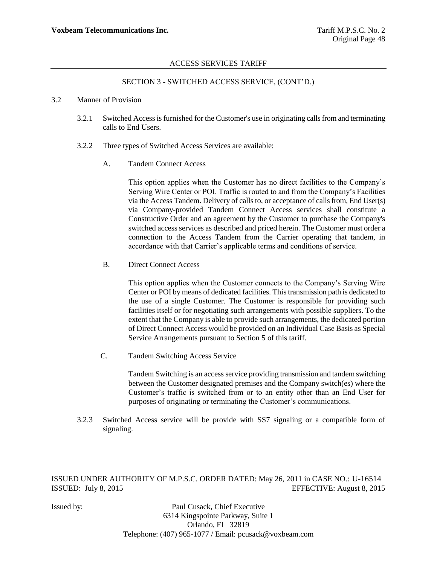### SECTION 3 - SWITCHED ACCESS SERVICE, (CONT"D.)

#### 3.2 Manner of Provision

- 3.2.1 Switched Access is furnished for the Customer's use in originating calls from and terminating calls to End Users.
- 3.2.2 Three types of Switched Access Services are available:
	- A. Tandem Connect Access

This option applies when the Customer has no direct facilities to the Company"s Serving Wire Center or POI. Traffic is routed to and from the Company"s Facilities via the Access Tandem. Delivery of calls to, or acceptance of calls from, End User(s) via Company-provided Tandem Connect Access services shall constitute a Constructive Order and an agreement by the Customer to purchase the Company's switched access services as described and priced herein. The Customer must order a connection to the Access Tandem from the Carrier operating that tandem, in accordance with that Carrier"s applicable terms and conditions of service.

B. Direct Connect Access

This option applies when the Customer connects to the Company"s Serving Wire Center or POI by means of dedicated facilities. This transmission path is dedicated to the use of a single Customer. The Customer is responsible for providing such facilities itself or for negotiating such arrangements with possible suppliers. To the extent that the Company is able to provide such arrangements, the dedicated portion of Direct Connect Access would be provided on an Individual Case Basis as Special Service Arrangements pursuant to Section 5 of this tariff.

C. Tandem Switching Access Service

Tandem Switching is an access service providing transmission and tandem switching between the Customer designated premises and the Company switch(es) where the Customer"s traffic is switched from or to an entity other than an End User for purposes of originating or terminating the Customer"s communications.

3.2.3 Switched Access service will be provide with SS7 signaling or a compatible form of signaling.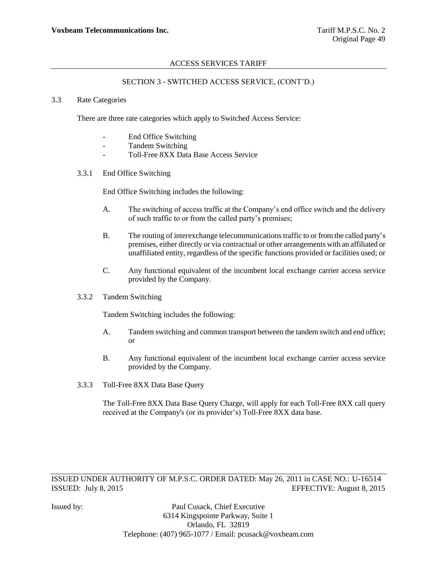### SECTION 3 - SWITCHED ACCESS SERVICE, (CONT"D.)

#### 3.3 Rate Categories

There are three rate categories which apply to Switched Access Service:

- End Office Switching
- Tandem Switching
- Toll-Free 8XX Data Base Access Service
- 3.3.1 End Office Switching

End Office Switching includes the following:

- A. The switching of access traffic at the Company"s end office switch and the delivery of such traffic to or from the called party"s premises;
- B. The routing of interexchange telecommunications traffic to or from the called party"s premises, either directly or via contractual or other arrangements with an affiliated or unaffiliated entity, regardless of the specific functions provided or facilities used; or
- C. Any functional equivalent of the incumbent local exchange carrier access service provided by the Company.
- 3.3.2 Tandem Switching

Tandem Switching includes the following:

- A. Tandem switching and common transport between the tandem switch and end office; or
- B. Any functional equivalent of the incumbent local exchange carrier access service provided by the Company.
- 3.3.3 Toll-Free 8XX Data Base Query

The Toll-Free 8XX Data Base Query Charge, will apply for each Toll-Free 8XX call query received at the Company's (or its provider"s) Toll-Free 8XX data base.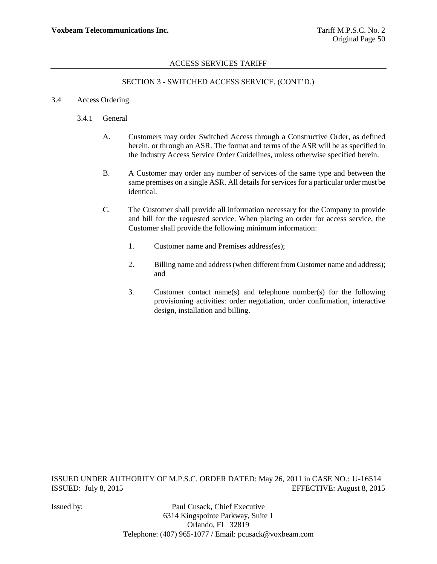# SECTION 3 - SWITCHED ACCESS SERVICE, (CONT"D.)

### 3.4 Access Ordering

## 3.4.1 General

- A. Customers may order Switched Access through a Constructive Order, as defined herein, or through an ASR. The format and terms of the ASR will be as specified in the Industry Access Service Order Guidelines, unless otherwise specified herein.
- B. A Customer may order any number of services of the same type and between the same premises on a single ASR. All details for services for a particular order must be identical.
- C. The Customer shall provide all information necessary for the Company to provide and bill for the requested service. When placing an order for access service, the Customer shall provide the following minimum information:
	- 1. Customer name and Premises address(es);
	- 2. Billing name and address (when different from Customer name and address); and
	- 3. Customer contact name(s) and telephone number(s) for the following provisioning activities: order negotiation, order confirmation, interactive design, installation and billing.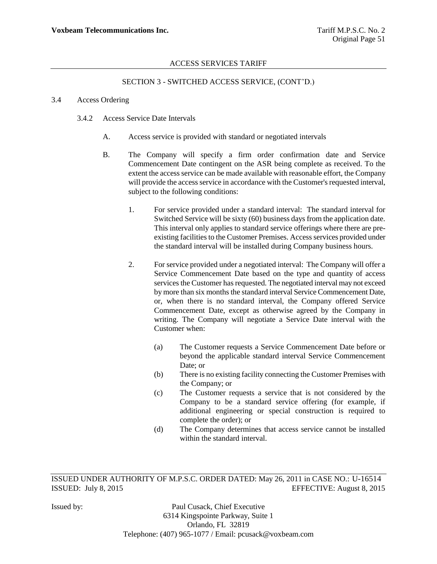# SECTION 3 - SWITCHED ACCESS SERVICE, (CONT"D.)

#### 3.4 Access Ordering

- 3.4.2 Access Service Date Intervals
	- A. Access service is provided with standard or negotiated intervals
	- B. The Company will specify a firm order confirmation date and Service Commencement Date contingent on the ASR being complete as received. To the extent the access service can be made available with reasonable effort, the Company will provide the access service in accordance with the Customer's requested interval, subject to the following conditions:
		- 1. For service provided under a standard interval: The standard interval for Switched Service will be sixty (60) business days from the application date. This interval only applies to standard service offerings where there are preexisting facilities to the Customer Premises. Access services provided under the standard interval will be installed during Company business hours.
		- 2. For service provided under a negotiated interval: The Company will offer a Service Commencement Date based on the type and quantity of access services the Customer has requested. The negotiated interval may not exceed by more than six months the standard interval Service Commencement Date, or, when there is no standard interval, the Company offered Service Commencement Date, except as otherwise agreed by the Company in writing. The Company will negotiate a Service Date interval with the Customer when:
			- (a) The Customer requests a Service Commencement Date before or beyond the applicable standard interval Service Commencement Date; or
			- (b) There is no existing facility connecting the Customer Premises with the Company; or
			- (c) The Customer requests a service that is not considered by the Company to be a standard service offering (for example, if additional engineering or special construction is required to complete the order); or
			- (d) The Company determines that access service cannot be installed within the standard interval.

ISSUED UNDER AUTHORITY OF M.P.S.C. ORDER DATED: May 26, 2011 in CASE NO.: U-16514 ISSUED: July 8, 2015 EFFECTIVE: August 8, 2015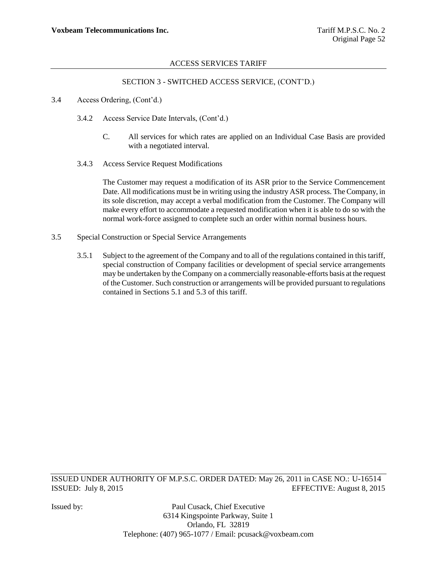# SECTION 3 - SWITCHED ACCESS SERVICE, (CONT"D.)

- 3.4 Access Ordering, (Cont"d.)
	- 3.4.2 Access Service Date Intervals, (Cont"d.)
		- C. All services for which rates are applied on an Individual Case Basis are provided with a negotiated interval.
	- 3.4.3 Access Service Request Modifications

The Customer may request a modification of its ASR prior to the Service Commencement Date. All modifications must be in writing using the industry ASR process. The Company, in its sole discretion, may accept a verbal modification from the Customer. The Company will make every effort to accommodate a requested modification when it is able to do so with the normal work-force assigned to complete such an order within normal business hours.

- 3.5 Special Construction or Special Service Arrangements
	- 3.5.1 Subject to the agreement of the Company and to all of the regulations contained in this tariff, special construction of Company facilities or development of special service arrangements may be undertaken by the Company on a commercially reasonable-efforts basis at the request of the Customer. Such construction or arrangements will be provided pursuant to regulations contained in Sections 5.1 and 5.3 of this tariff.

ISSUED UNDER AUTHORITY OF M.P.S.C. ORDER DATED: May 26, 2011 in CASE NO.: U-16514 ISSUED: July 8, 2015 EFFECTIVE: August 8, 2015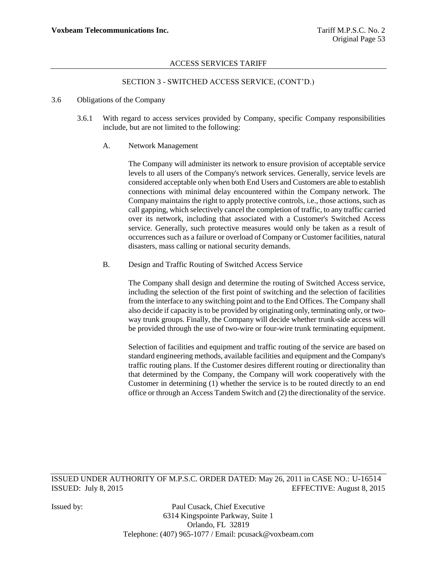# SECTION 3 - SWITCHED ACCESS SERVICE, (CONT"D.)

#### 3.6 Obligations of the Company

3.6.1 With regard to access services provided by Company, specific Company responsibilities include, but are not limited to the following:

#### A. Network Management

The Company will administer its network to ensure provision of acceptable service levels to all users of the Company's network services. Generally, service levels are considered acceptable only when both End Users and Customers are able to establish connections with minimal delay encountered within the Company network. The Company maintains the right to apply protective controls, i.e., those actions, such as call gapping, which selectively cancel the completion of traffic, to any traffic carried over its network, including that associated with a Customer's Switched Access service. Generally, such protective measures would only be taken as a result of occurrences such as a failure or overload of Company or Customer facilities, natural disasters, mass calling or national security demands.

B. Design and Traffic Routing of Switched Access Service

The Company shall design and determine the routing of Switched Access service, including the selection of the first point of switching and the selection of facilities from the interface to any switching point and to the End Offices. The Company shall also decide if capacity is to be provided by originating only, terminating only, or twoway trunk groups. Finally, the Company will decide whether trunk-side access will be provided through the use of two-wire or four-wire trunk terminating equipment.

Selection of facilities and equipment and traffic routing of the service are based on standard engineering methods, available facilities and equipment and the Company's traffic routing plans. If the Customer desires different routing or directionality than that determined by the Company, the Company will work cooperatively with the Customer in determining (1) whether the service is to be routed directly to an end office or through an Access Tandem Switch and (2) the directionality of the service.

ISSUED UNDER AUTHORITY OF M.P.S.C. ORDER DATED: May 26, 2011 in CASE NO.: U-16514 ISSUED: July 8, 2015 EFFECTIVE: August 8, 2015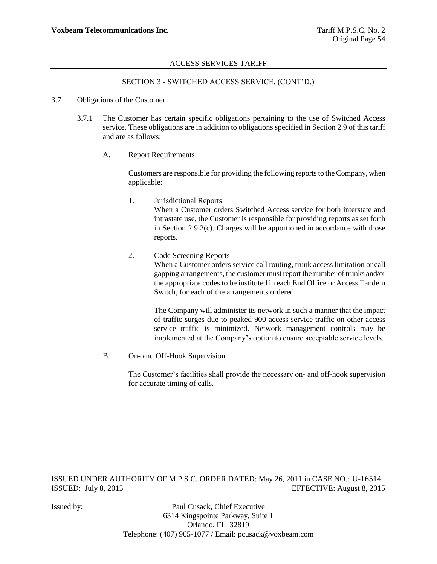# SECTION 3 - SWITCHED ACCESS SERVICE, (CONT"D.)

#### 3.7 Obligations of the Customer

- 3.7.1 The Customer has certain specific obligations pertaining to the use of Switched Access service. These obligations are in addition to obligations specified in Section 2.9 of this tariff and are as follows:
	- A. Report Requirements

Customers are responsible for providing the following reports to the Company, when applicable:

- 1. Jurisdictional Reports When a Customer orders Switched Access service for both interstate and intrastate use, the Customer is responsible for providing reports as set forth in Section 2.9.2(c). Charges will be apportioned in accordance with those reports.
- 2. Code Screening Reports When a Customer orders service call routing, trunk access limitation or call gapping arrangements, the customer must report the number of trunks and/or the appropriate codes to be instituted in each End Office or Access Tandem Switch, for each of the arrangements ordered.

The Company will administer its network in such a manner that the impact of traffic surges due to peaked 900 access service traffic on other access service traffic is minimized. Network management controls may be implemented at the Company"s option to ensure acceptable service levels.

B. On- and Off-Hook Supervision

The Customer's facilities shall provide the necessary on- and off-hook supervision for accurate timing of calls.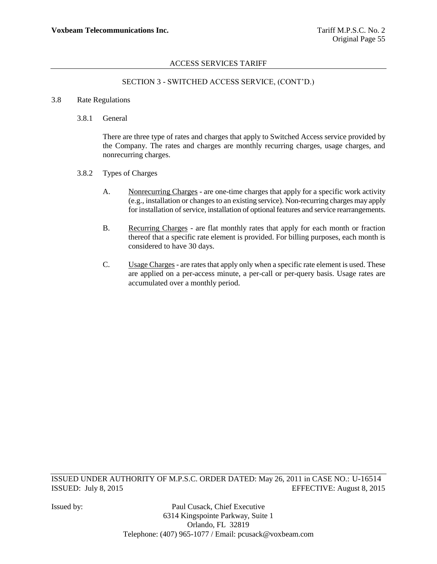# SECTION 3 - SWITCHED ACCESS SERVICE, (CONT"D.)

#### 3.8 Rate Regulations

3.8.1 General

There are three type of rates and charges that apply to Switched Access service provided by the Company. The rates and charges are monthly recurring charges, usage charges, and nonrecurring charges.

- 3.8.2 Types of Charges
	- A. Nonrecurring Charges are one-time charges that apply for a specific work activity (e.g., installation or changes to an existing service). Non-recurring charges may apply for installation of service, installation of optional features and service rearrangements.
	- B. Recurring Charges are flat monthly rates that apply for each month or fraction thereof that a specific rate element is provided. For billing purposes, each month is considered to have 30 days.
	- C. Usage Charges are rates that apply only when a specific rate element is used. These are applied on a per-access minute, a per-call or per-query basis. Usage rates are accumulated over a monthly period.

ISSUED UNDER AUTHORITY OF M.P.S.C. ORDER DATED: May 26, 2011 in CASE NO.: U-16514 ISSUED: July 8, 2015 EFFECTIVE: August 8, 2015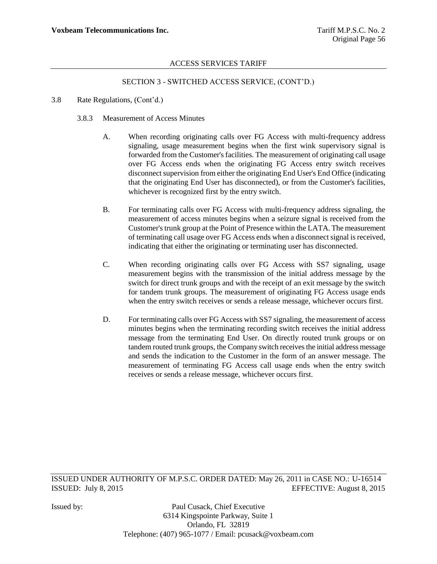# SECTION 3 - SWITCHED ACCESS SERVICE, (CONT"D.)

- 3.8 Rate Regulations, (Cont"d.)
	- 3.8.3 Measurement of Access Minutes
		- A. When recording originating calls over FG Access with multi-frequency address signaling, usage measurement begins when the first wink supervisory signal is forwarded from the Customer's facilities. The measurement of originating call usage over FG Access ends when the originating FG Access entry switch receives disconnect supervision from either the originating End User's End Office (indicating that the originating End User has disconnected), or from the Customer's facilities, whichever is recognized first by the entry switch.
		- B. For terminating calls over FG Access with multi-frequency address signaling, the measurement of access minutes begins when a seizure signal is received from the Customer's trunk group at the Point of Presence within the LATA. The measurement of terminating call usage over FG Access ends when a disconnect signal is received, indicating that either the originating or terminating user has disconnected.
		- C. When recording originating calls over FG Access with SS7 signaling, usage measurement begins with the transmission of the initial address message by the switch for direct trunk groups and with the receipt of an exit message by the switch for tandem trunk groups. The measurement of originating FG Access usage ends when the entry switch receives or sends a release message, whichever occurs first.
		- D. For terminating calls over FG Access with SS7 signaling, the measurement of access minutes begins when the terminating recording switch receives the initial address message from the terminating End User. On directly routed trunk groups or on tandem routed trunk groups, the Company switch receives the initial address message and sends the indication to the Customer in the form of an answer message. The measurement of terminating FG Access call usage ends when the entry switch receives or sends a release message, whichever occurs first.

ISSUED UNDER AUTHORITY OF M.P.S.C. ORDER DATED: May 26, 2011 in CASE NO.: U-16514 ISSUED: July 8, 2015 EFFECTIVE: August 8, 2015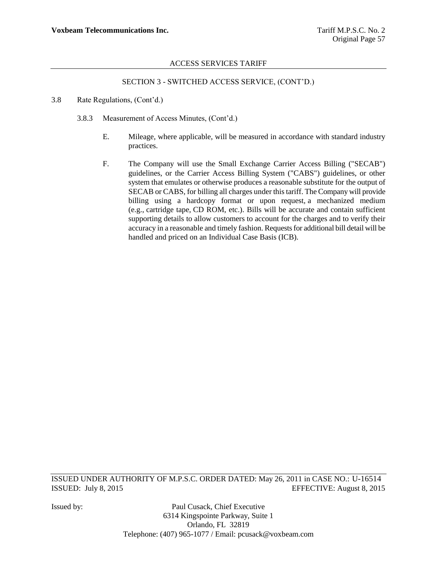# SECTION 3 - SWITCHED ACCESS SERVICE, (CONT"D.)

- 3.8 Rate Regulations, (Cont"d.)
	- 3.8.3 Measurement of Access Minutes, (Cont"d.)
		- E. Mileage, where applicable, will be measured in accordance with standard industry practices.
		- F. The Company will use the Small Exchange Carrier Access Billing ("SECAB") guidelines, or the Carrier Access Billing System ("CABS") guidelines, or other system that emulates or otherwise produces a reasonable substitute for the output of SECAB or CABS, for billing all charges under this tariff. The Company will provide billing using a hardcopy format or upon request, a mechanized medium (e.g., cartridge tape, CD ROM, etc.). Bills will be accurate and contain sufficient supporting details to allow customers to account for the charges and to verify their accuracy in a reasonable and timely fashion. Requests for additional bill detail will be handled and priced on an Individual Case Basis (ICB).

ISSUED UNDER AUTHORITY OF M.P.S.C. ORDER DATED: May 26, 2011 in CASE NO.: U-16514 ISSUED: July 8, 2015 EFFECTIVE: August 8, 2015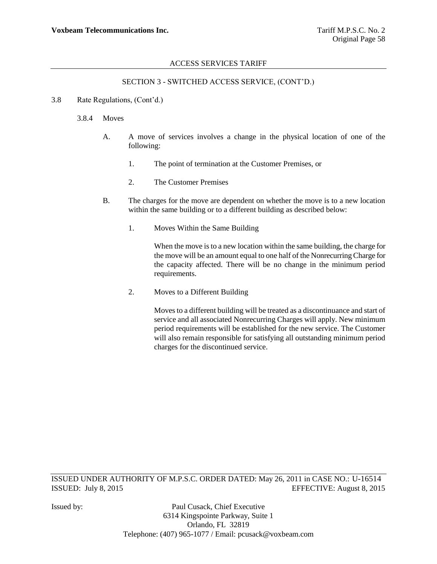# SECTION 3 - SWITCHED ACCESS SERVICE, (CONT"D.)

### 3.8 Rate Regulations, (Cont"d.)

### 3.8.4 Moves

- A. A move of services involves a change in the physical location of one of the following:
	- 1. The point of termination at the Customer Premises, or
	- 2. The Customer Premises
- B. The charges for the move are dependent on whether the move is to a new location within the same building or to a different building as described below:
	- 1. Moves Within the Same Building

When the move is to a new location within the same building, the charge for the move will be an amount equal to one half of the Nonrecurring Charge for the capacity affected. There will be no change in the minimum period requirements.

2. Moves to a Different Building

Moves to a different building will be treated as a discontinuance and start of service and all associated Nonrecurring Charges will apply. New minimum period requirements will be established for the new service. The Customer will also remain responsible for satisfying all outstanding minimum period charges for the discontinued service.

ISSUED UNDER AUTHORITY OF M.P.S.C. ORDER DATED: May 26, 2011 in CASE NO.: U-16514 ISSUED: July 8, 2015 EFFECTIVE: August 8, 2015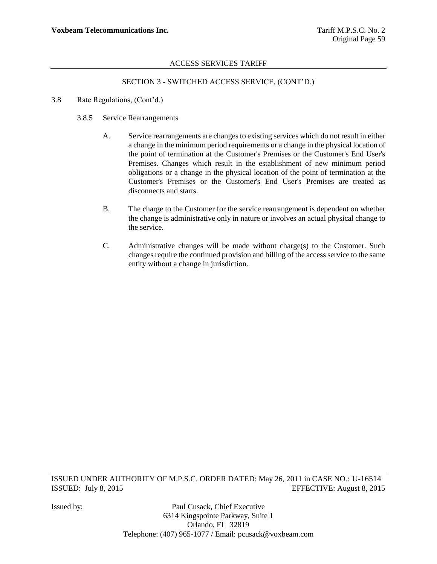# SECTION 3 - SWITCHED ACCESS SERVICE, (CONT"D.)

- 3.8 Rate Regulations, (Cont"d.)
	- 3.8.5 Service Rearrangements
		- A. Service rearrangements are changes to existing services which do not result in either a change in the minimum period requirements or a change in the physical location of the point of termination at the Customer's Premises or the Customer's End User's Premises. Changes which result in the establishment of new minimum period obligations or a change in the physical location of the point of termination at the Customer's Premises or the Customer's End User's Premises are treated as disconnects and starts.
		- B. The charge to the Customer for the service rearrangement is dependent on whether the change is administrative only in nature or involves an actual physical change to the service.
		- C. Administrative changes will be made without charge(s) to the Customer. Such changes require the continued provision and billing of the access service to the same entity without a change in jurisdiction.

ISSUED UNDER AUTHORITY OF M.P.S.C. ORDER DATED: May 26, 2011 in CASE NO.: U-16514 ISSUED: July 8, 2015 EFFECTIVE: August 8, 2015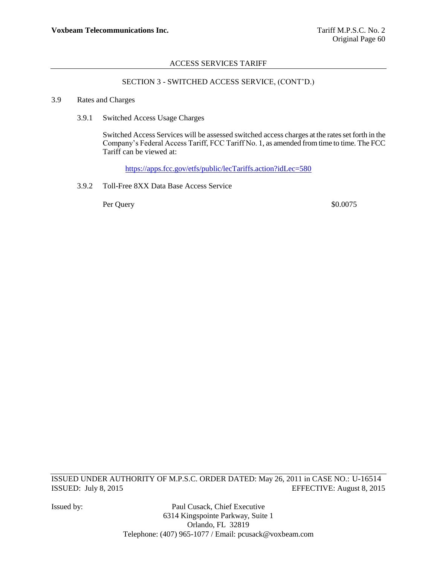# SECTION 3 - SWITCHED ACCESS SERVICE, (CONT"D.)

#### 3.9 Rates and Charges

3.9.1 Switched Access Usage Charges

Switched Access Services will be assessed switched access charges at the rates set forth in the Company"s Federal Access Tariff, FCC Tariff No. 1, as amended from time to time. The FCC Tariff can be viewed at:

<https://apps.fcc.gov/etfs/public/lecTariffs.action?idLec=580>

3.9.2 Toll-Free 8XX Data Base Access Service

Per Query \$0.0075

ISSUED UNDER AUTHORITY OF M.P.S.C. ORDER DATED: May 26, 2011 in CASE NO.: U-16514 ISSUED: July 8, 2015 EFFECTIVE: August 8, 2015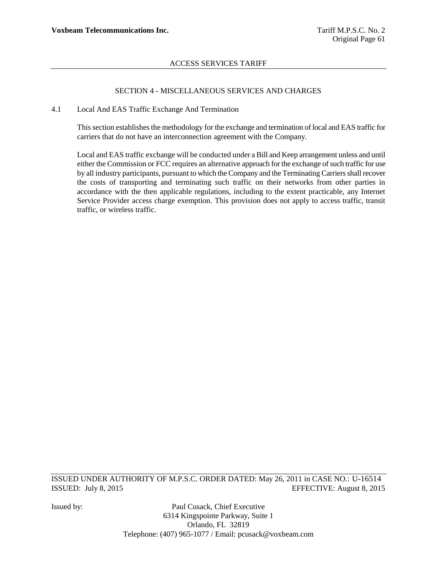## SECTION 4 - MISCELLANEOUS SERVICES AND CHARGES

#### 4.1 Local And EAS Traffic Exchange And Termination

This section establishes the methodology for the exchange and termination of local and EAS traffic for carriers that do not have an interconnection agreement with the Company.

Local and EAS traffic exchange will be conducted under a Bill and Keep arrangement unless and until either the Commission or FCC requires an alternative approach for the exchange of such traffic for use by all industry participants, pursuant to which the Company and the Terminating Carriers shall recover the costs of transporting and terminating such traffic on their networks from other parties in accordance with the then applicable regulations, including to the extent practicable, any Internet Service Provider access charge exemption. This provision does not apply to access traffic, transit traffic, or wireless traffic.

ISSUED UNDER AUTHORITY OF M.P.S.C. ORDER DATED: May 26, 2011 in CASE NO.: U-16514 ISSUED: July 8, 2015 EFFECTIVE: August 8, 2015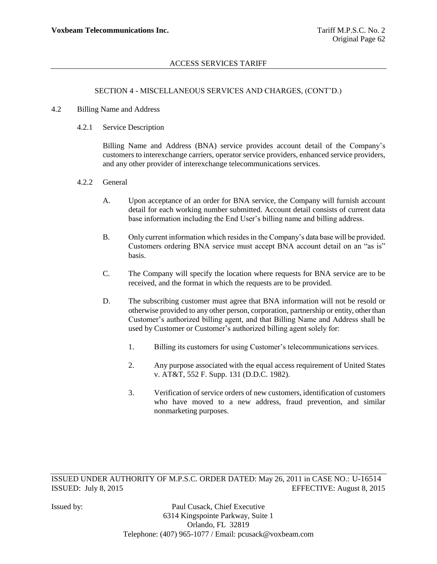#### SECTION 4 - MISCELLANEOUS SERVICES AND CHARGES, (CONT"D.)

#### 4.2 Billing Name and Address

4.2.1 Service Description

Billing Name and Address (BNA) service provides account detail of the Company"s customers to interexchange carriers, operator service providers, enhanced service providers, and any other provider of interexchange telecommunications services.

- 4.2.2 General
	- A. Upon acceptance of an order for BNA service, the Company will furnish account detail for each working number submitted. Account detail consists of current data base information including the End User"s billing name and billing address.
	- B. Only current information which resides in the Company"s data base will be provided. Customers ordering BNA service must accept BNA account detail on an "as is" basis.
	- C. The Company will specify the location where requests for BNA service are to be received, and the format in which the requests are to be provided.
	- D. The subscribing customer must agree that BNA information will not be resold or otherwise provided to any other person, corporation, partnership or entity, other than Customer"s authorized billing agent, and that Billing Name and Address shall be used by Customer or Customer's authorized billing agent solely for:
		- 1. Billing its customers for using Customer"s telecommunications services.
		- 2. Any purpose associated with the equal access requirement of United States v. AT&T, 552 F. Supp. 131 (D.D.C. 1982).
		- 3. Verification of service orders of new customers, identification of customers who have moved to a new address, fraud prevention, and similar nonmarketing purposes.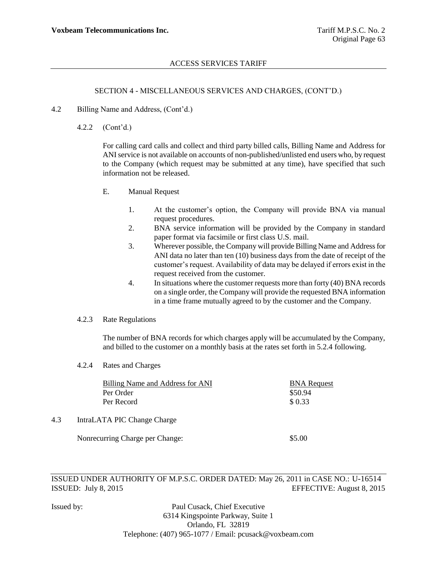#### SECTION 4 - MISCELLANEOUS SERVICES AND CHARGES, (CONT"D.)

- 4.2 Billing Name and Address, (Cont"d.)
	- 4.2.2 (Cont"d.)

For calling card calls and collect and third party billed calls, Billing Name and Address for ANI service is not available on accounts of non-published/unlisted end users who, by request to the Company (which request may be submitted at any time), have specified that such information not be released.

- E. Manual Request
	- 1. At the customer"s option, the Company will provide BNA via manual request procedures.
	- 2. BNA service information will be provided by the Company in standard paper format via facsimile or first class U.S. mail.
	- 3. Wherever possible, the Company will provide Billing Name and Address for ANI data no later than ten (10) business days from the date of receipt of the customer"s request. Availability of data may be delayed if errors exist in the request received from the customer.
	- 4. In situations where the customer requests more than forty (40) BNA records on a single order, the Company will provide the requested BNA information in a time frame mutually agreed to by the customer and the Company.

#### 4.2.3 Rate Regulations

The number of BNA records for which charges apply will be accumulated by the Company, and billed to the customer on a monthly basis at the rates set forth in 5.2.4 following.

4.2.4 Rates and Charges

|     | <b>Billing Name and Address for ANI</b> | <b>BNA Request</b> |
|-----|-----------------------------------------|--------------------|
|     | Per Order                               | \$50.94            |
|     | Per Record                              | \$0.33             |
| 4.3 | IntraLATA PIC Change Charge             |                    |
|     | Nonrecurring Charge per Change:         | \$5.00             |

ISSUED UNDER AUTHORITY OF M.P.S.C. ORDER DATED: May 26, 2011 in CASE NO.: U-16514 ISSUED: July 8, 2015 EFFECTIVE: August 8, 2015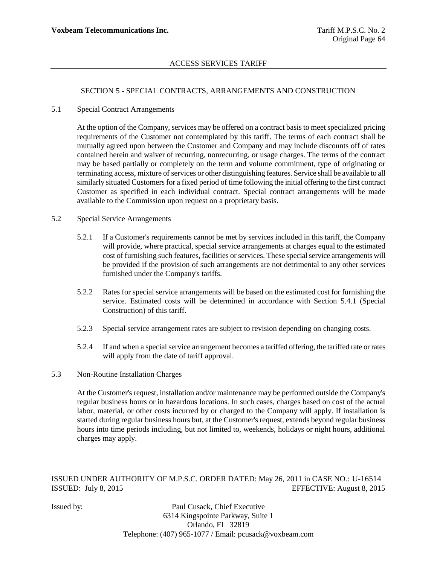### SECTION 5 - SPECIAL CONTRACTS, ARRANGEMENTS AND CONSTRUCTION

#### 5.1 Special Contract Arrangements

At the option of the Company, services may be offered on a contract basis to meet specialized pricing requirements of the Customer not contemplated by this tariff. The terms of each contract shall be mutually agreed upon between the Customer and Company and may include discounts off of rates contained herein and waiver of recurring, nonrecurring, or usage charges. The terms of the contract may be based partially or completely on the term and volume commitment, type of originating or terminating access, mixture of services or other distinguishing features. Service shall be available to all similarly situated Customers for a fixed period of time following the initial offering to the first contract Customer as specified in each individual contract. Special contract arrangements will be made available to the Commission upon request on a proprietary basis.

### 5.2 Special Service Arrangements

- 5.2.1 If a Customer's requirements cannot be met by services included in this tariff, the Company will provide, where practical, special service arrangements at charges equal to the estimated cost of furnishing such features, facilities or services. These special service arrangements will be provided if the provision of such arrangements are not detrimental to any other services furnished under the Company's tariffs.
- 5.2.2 Rates for special service arrangements will be based on the estimated cost for furnishing the service. Estimated costs will be determined in accordance with Section 5.4.1 (Special Construction) of this tariff.
- 5.2.3 Special service arrangement rates are subject to revision depending on changing costs.
- 5.2.4 If and when a special service arrangement becomes a tariffed offering, the tariffed rate or rates will apply from the date of tariff approval.
- 5.3 Non-Routine Installation Charges

At the Customer's request, installation and/or maintenance may be performed outside the Company's regular business hours or in hazardous locations. In such cases, charges based on cost of the actual labor, material, or other costs incurred by or charged to the Company will apply. If installation is started during regular business hours but, at the Customer's request, extends beyond regular business hours into time periods including, but not limited to, weekends, holidays or night hours, additional charges may apply.

ISSUED UNDER AUTHORITY OF M.P.S.C. ORDER DATED: May 26, 2011 in CASE NO.: U-16514 ISSUED: July 8, 2015 EFFECTIVE: August 8, 2015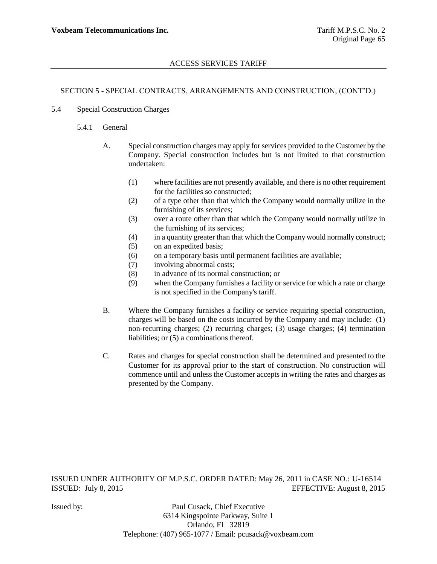## SECTION 5 - SPECIAL CONTRACTS, ARRANGEMENTS AND CONSTRUCTION, (CONT"D.)

- 5.4 Special Construction Charges
	- 5.4.1 General
		- A. Special construction charges may apply for services provided to the Customer by the Company. Special construction includes but is not limited to that construction undertaken:
			- (1) where facilities are not presently available, and there is no other requirement for the facilities so constructed;
			- (2) of a type other than that which the Company would normally utilize in the furnishing of its services;
			- (3) over a route other than that which the Company would normally utilize in the furnishing of its services;
			- (4) in a quantity greater than that which the Company would normally construct;
			- (5) on an expedited basis;
			- (6) on a temporary basis until permanent facilities are available;
			- (7) involving abnormal costs;
			- (8) in advance of its normal construction; or
			- (9) when the Company furnishes a facility or service for which a rate or charge is not specified in the Company's tariff.
		- B. Where the Company furnishes a facility or service requiring special construction, charges will be based on the costs incurred by the Company and may include: (1) non-recurring charges; (2) recurring charges; (3) usage charges; (4) termination liabilities; or (5) a combinations thereof.
		- C. Rates and charges for special construction shall be determined and presented to the Customer for its approval prior to the start of construction. No construction will commence until and unless the Customer accepts in writing the rates and charges as presented by the Company.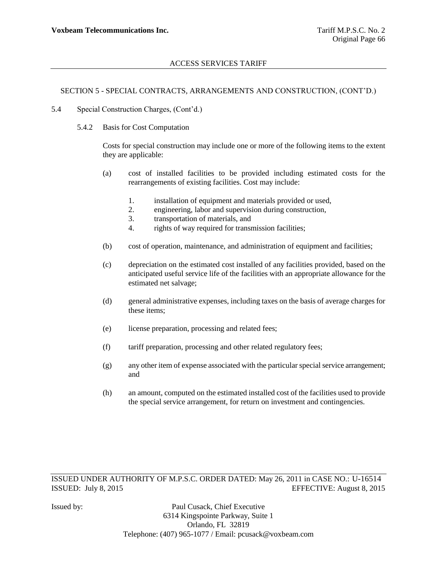# SECTION 5 - SPECIAL CONTRACTS, ARRANGEMENTS AND CONSTRUCTION, (CONT"D.)

- 5.4 Special Construction Charges, (Cont"d.)
	- 5.4.2 Basis for Cost Computation

Costs for special construction may include one or more of the following items to the extent they are applicable:

- (a) cost of installed facilities to be provided including estimated costs for the rearrangements of existing facilities. Cost may include:
	- 1. installation of equipment and materials provided or used,
	- 2. engineering, labor and supervision during construction,
	- 3. transportation of materials, and
	- 4. rights of way required for transmission facilities;
- (b) cost of operation, maintenance, and administration of equipment and facilities;
- (c) depreciation on the estimated cost installed of any facilities provided, based on the anticipated useful service life of the facilities with an appropriate allowance for the estimated net salvage;
- (d) general administrative expenses, including taxes on the basis of average charges for these items;
- (e) license preparation, processing and related fees;
- (f) tariff preparation, processing and other related regulatory fees;
- (g) any other item of expense associated with the particular special service arrangement; and
- (h) an amount, computed on the estimated installed cost of the facilities used to provide the special service arrangement, for return on investment and contingencies.